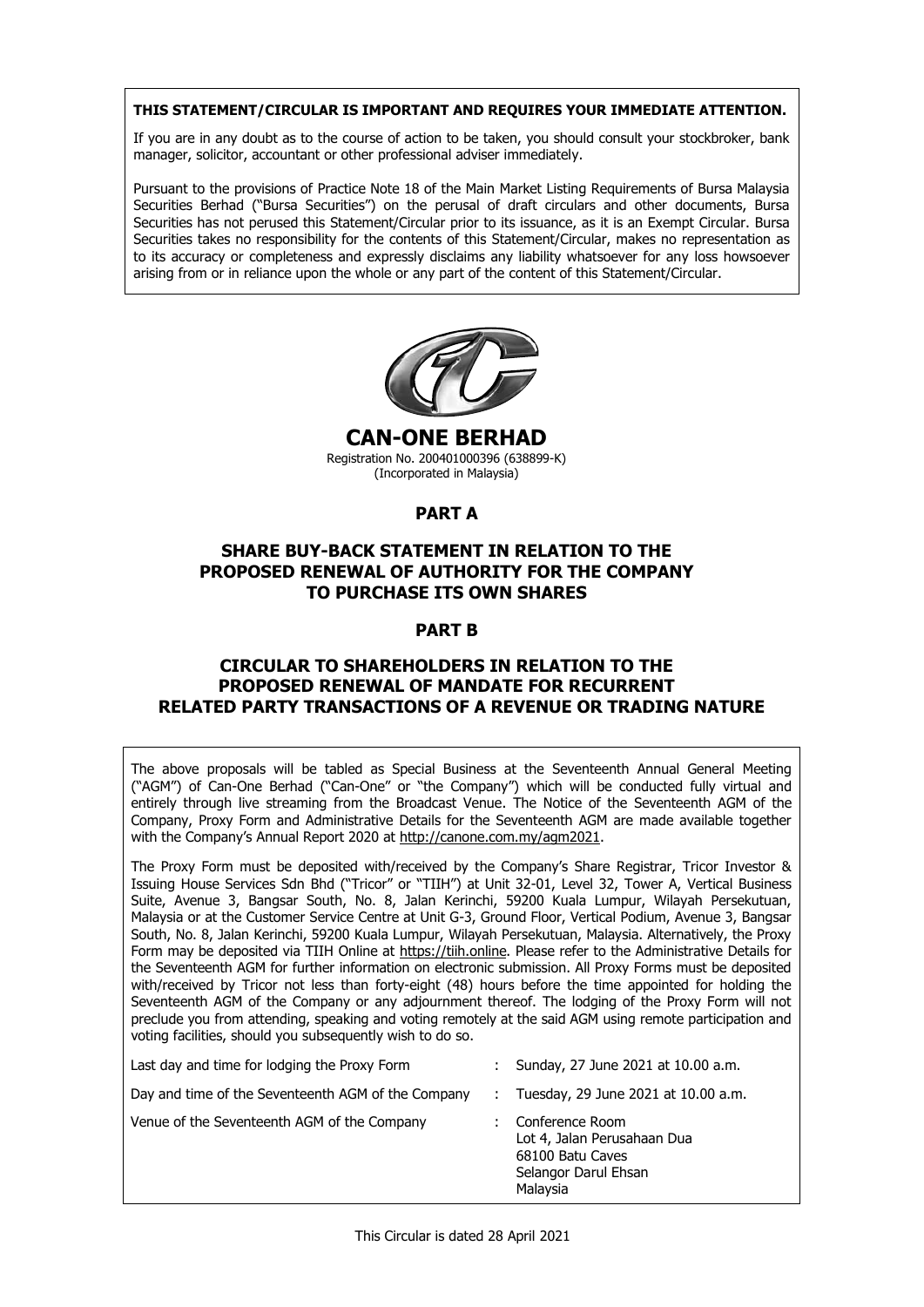### **THIS STATEMENT/CIRCULAR IS IMPORTANT AND REQUIRES YOUR IMMEDIATE ATTENTION. THIS STATEMENT/CIRCULAR IS IMPORTANT AND REQUIRES YOUR IMMEDIATE ATTENTION. THIS STATEMENT/CIRCULAR IS IMPORTANT AND REQUIRES YOUR IMMEDIATE ATTENTION. THIS STATEMENT/CIRCULAR IS IMPORTANT AND REQUIRES YOUR IMMEDIATE ATTENTION.**

If you are in any doubt as to the course of action to be taken, you should consult your stockbroker, bank  $\mid$ manager, solicitor, accountant or other professional adviser immediately. manager, solicitor, accountant or other professional adviser immediately. manager, solicitor, accountant or other professional adviser immediately.

Pursuant to the provisions of Practice Note 18 of the Main Market Listing Requirements of Bursa Malaysia Pursuant to the provisions of Practice Note 18 of the Main Market Listing Requirements of Bursa Malaysia Securities Berhad ("Bursa Securities") on the perusal of draft circulars and other documents, Bursa Securities has not perused this Statement/Circular prior to its issuance, as it is an Exempt Circular. Bursa Securities takes no responsibility for the contents of this Statement/Circular, makes no representation as to its accuracy or completeness and expressly disclaims any liability whatsoever for any loss howsoever arising from or in reliance upon the whole or any part of the content of this Statement/Circular. arising from or in reliance upon the whole or any part of the content of this Statement/Circular. arising from or in reliance upon the whole or any part of the content of this Statement/Circular.



**CAN-ONE BERHAD**  Registration No. 200401000396 (638899-K) **CAN-ONE BERHAD CAN-ONE BERHAD CAN-ONE BERHAD**  (Incorporated in Malaysia) Registration No. 200401000396 (638899-K) (Incorporated in Malaysia) Registration No. 200401000396 (638899-K) Registration No. 200401000396 (638899-K) (Incorporated in Malaysia) (Incorporated in Malaysia)

# **PART A PART A PART A PART A**

### **SHARE BUY-BACK STATEMENT IN RELATION TO THE PROPOSED RENEWAL OF AUTHORITY FOR THE COMPANY TO PURCHASE ITS OWNER ITS OWNER.**<br>The purchase into our purchases **SHARE BUY-BACK STATEMENT IN RELATION TO THE SHARE BUY-BACK STATEMENT IN RELATION TO THE SHARE BUY-BACK STATEMENT IN RELATION TO THE PROPOSED RENEWAL OF AUTHORITY FOR THE COMPANY PROPOSED RENEWAL OF AUTHORITY FOR THE COMPANY PROPOSED RENEWAL OF AUTHORITY FOR THE COMPANY TO PURCHASE ITS OWN SHARES TO PURCHASE ITS OWN SHARES TO PURCHASE ITS OWN SHARES**

# **PART B PART B PART B PART B**

### **CIRCULAR TO SHAREHOLDERS IN RELATION TO THE PROPOSED RENEWAL OF MANDATE FOR RECURRENT**  PROPOSED RENEWAL OF MANDATE FOR RECORRENT<br>RELATED PARTY TRANSACTIONS OF A REVENUE OR TRADING NATURE **CIRCULAR TO SHAREHOLDERS IN RELATION TO THE CIRCULAR TO SHAREHOLDERS IN RELATION TO THE CIRCULAR TO SHAREHOLDERS IN RELATION TO THE PROPOSED RENEWAL OF MANDATE FOR RECURRENT PROPOSED RENEWAL OF MANDATE FOR RECURRENT PROPOSED RENEWAL OF MANDATE FOR RECURRENT**

The above proposals will be tabled as Special Business at the Seventeenth Annual General Meeting ("Agm ove proposals will be tabled as Special Business at the Seventeenth Annual General Meeting  $\mid$ The above proposals will be tabled as special business at the seventeenth Affinian defieral meeting  $\Gamma$  ("AGM") of Can-One Berhad ("Can-One" or "the Company") which will be conducted fully virtual and entirely through live streaming from the Broadcast Venue. The Notice of the Seventeenth AGM of the  $\mid$ Company, Proxy Form and Administrative Details for the Seventeenth AGM are made available together The above proposals will be tabled as Special Business at the Seventeenth Annual General Meeting ("AGM") of Can-One Berhad ("Can-One" or "the Company") which will be conducted fully virtual and<br>Lattisky through live streaming from the Breadcast Vanue. The Nation of the Counterable AGM of the with the Company's Annual Report 2020 at http://canone.com.my/agm2021. with the Company's Annual Report 2020 at http://canone.com.my/agm2021. with the Company's Annual Report 2020 at http://canone.com.my/agm2021.

The Proxy Form must be deposited with/received by the Company's Share Registrar, Tricor Investor &  $\alpha$  Proxy Form must be deposited with/received by the Company's Share Registrar, Tricor Investor &  $\alpha$ Issuing House Services Sdn Bhd ("Tricor" or "TIIH") at Unit 32-01, Level 32, Tower A, Vertical Business uite, Avenue 3, Bangsar South, No. 8, Jalan Kerinchi, 59200 Kuala Lumpur, Wilayah Persekutuan, | Malaysia or at the Customer Service Centre at Unit G-3, Ground Floor, Vertical Podium, Avenue 3, Bangsar outh, No. 8, Jalan Kerinchi, 59200 Kuala Lumpur, Wilayah Persekutuan, Malaysia. Alternatively, the Proxy |  $\frac{1}{2}$  form may be deposited via TIIH Online at <u>https://tiih.online</u>. Please refer to the Administrative Details for the Seventeenth AGM for further information on electronic submission. All Proxy Forms must be deposited  $\mid$ with/received by Tricor not less than forty-eight (48) hours before the time appointed for holding the eventeenth AGM of the Company or any adjournment thereof. The lodging of the Proxy Form will not  $\parallel$ preclude you from attending, speaking and voting remotely at the said AGM using remote participation and preclude you from attending, speaking and voting remotely at the said AGM using remote participation and The Proxy Form must be deposited with/received by the Company's Share Registrar, Tricor Investor & Suite, Avenue 3, Bangsar South, No. 8, Jalan Kerinchi, 59200 Kuala Lumpur, Wilayah Persekutuan, South, No. 8, Jalan Kerinchi, 59200 Kuala Lumpur, Wilayah Persekutuan, Malaysia. Alternatively, the Proxy South, No. 8, Jalan Kerinchi, 59200 Kuala Lumpur, Wilayah Persekutuan, Malaysia. Alternatively, the Proxy Form may be deposited via TIIH Online at https://tiih.online. Please refer to the Administrative Details for Seventeenth AGM of the Company or any adjournment thereof. The lodging of the Proxy Form will not voting facilities, should you subsequently wish to do so. voting facilities, should you subsequently wish to do so. voting facilities, should you subsequently wish to do so.

| Last day and time for lodging the Proxy Form       | Sunday, 27 June 2021 at 10.00 a.m.                                                                     |
|----------------------------------------------------|--------------------------------------------------------------------------------------------------------|
| Day and time of the Seventeenth AGM of the Company | Tuesday, 29 June 2021 at 10.00 a.m.                                                                    |
| Venue of the Seventeenth AGM of the Company        | Conference Room<br>Lot 4, Jalan Perusahaan Dua<br>68100 Batu Caves<br>Selangor Darul Ehsan<br>Malaysia |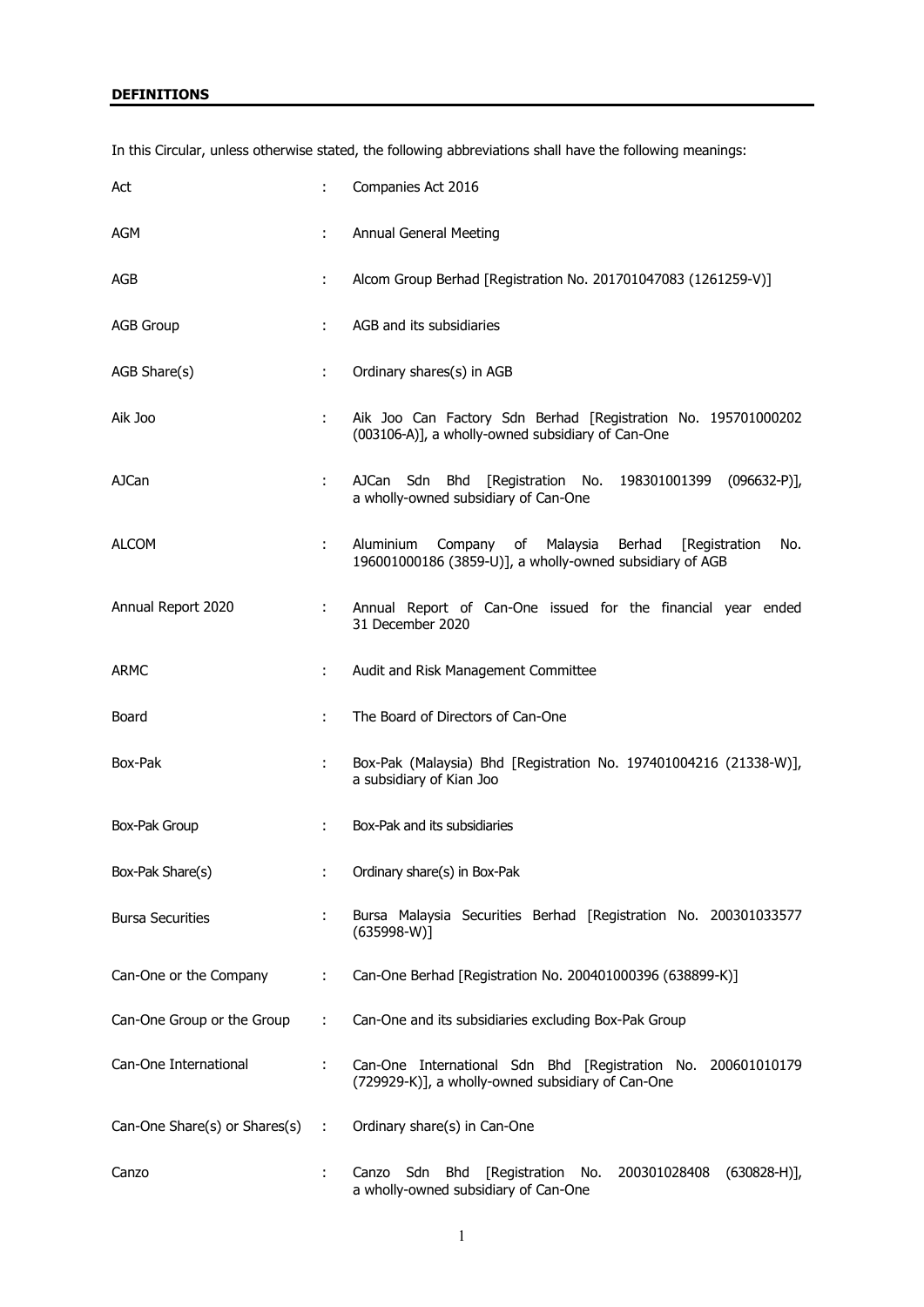# **DEFINITIONS**

In this Circular, unless otherwise stated, the following abbreviations shall have the following meanings:

| Act                           |    | Companies Act 2016                                                                                                       |  |  |
|-------------------------------|----|--------------------------------------------------------------------------------------------------------------------------|--|--|
| AGM                           | ÷. | Annual General Meeting                                                                                                   |  |  |
| AGB                           |    | Alcom Group Berhad [Registration No. 201701047083 (1261259-V)]                                                           |  |  |
| <b>AGB Group</b>              | ÷  | AGB and its subsidiaries                                                                                                 |  |  |
| AGB Share(s)                  | ÷  | Ordinary shares(s) in AGB                                                                                                |  |  |
| Aik Joo                       |    | Aik Joo Can Factory Sdn Berhad [Registration No. 195701000202<br>(003106-A)], a wholly-owned subsidiary of Can-One       |  |  |
| AJCan                         | ÷  | AJCan Sdn Bhd [Registration No. 198301001399 (096632-P)],<br>a wholly-owned subsidiary of Can-One                        |  |  |
| ALCOM                         |    | Aluminium Company of Malaysia Berhad<br>[Registration<br>No.<br>196001000186 (3859-U)], a wholly-owned subsidiary of AGB |  |  |
| Annual Report 2020            | ÷. | Annual Report of Can-One issued for the financial year ended<br>31 December 2020                                         |  |  |
| <b>ARMC</b>                   | ÷  | Audit and Risk Management Committee                                                                                      |  |  |
| Board                         | ÷  | The Board of Directors of Can-One                                                                                        |  |  |
| Box-Pak                       |    | Box-Pak (Malaysia) Bhd [Registration No. 197401004216 (21338-W)],<br>a subsidiary of Kian Joo                            |  |  |
| Box-Pak Group                 | ÷  | Box-Pak and its subsidiaries                                                                                             |  |  |
| Box-Pak Share(s)              |    | Ordinary share(s) in Box-Pak                                                                                             |  |  |
| <b>Bursa Securities</b>       |    | Bursa Malaysia Securities Berhad [Registration No. 200301033577<br>$(635998-W)]$                                         |  |  |
| Can-One or the Company        | ÷. | Can-One Berhad [Registration No. 200401000396 (638899-K)]                                                                |  |  |
| Can-One Group or the Group    | ÷  | Can-One and its subsidiaries excluding Box-Pak Group                                                                     |  |  |
| Can-One International         | ÷. | Can-One International Sdn Bhd [Registration No. 200601010179<br>(729929-K)], a wholly-owned subsidiary of Can-One        |  |  |
| Can-One Share(s) or Shares(s) | ÷. | Ordinary share(s) in Can-One                                                                                             |  |  |
| Canzo                         |    | Sdn<br>Bhd<br>[Registration]<br>No.<br>200301028408<br>$(630828-H)],$<br>Canzo<br>a wholly-owned subsidiary of Can-One   |  |  |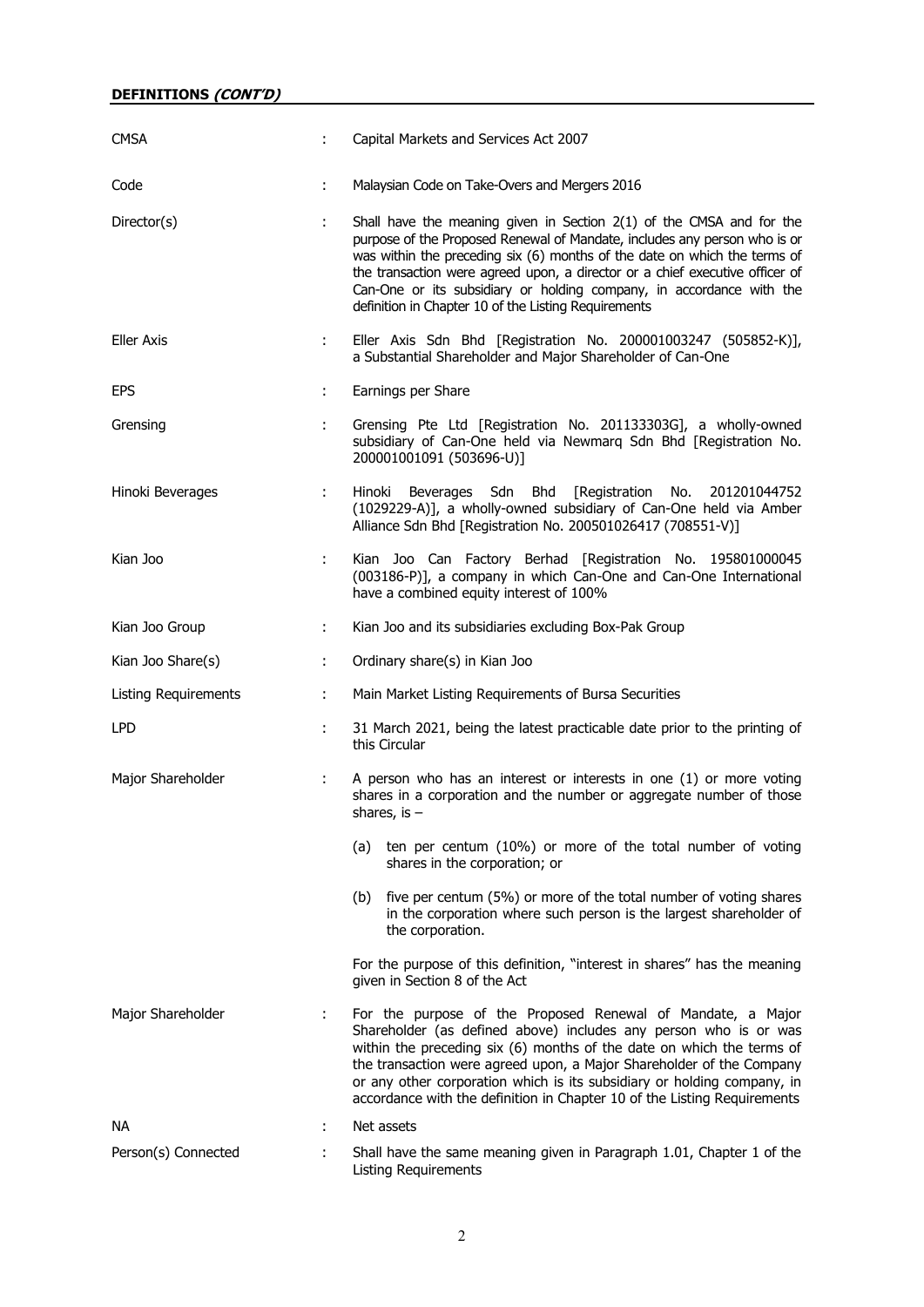| <b>CMSA</b>                 |    | Capital Markets and Services Act 2007                                                                                                                                                                                                                                                                                                                                                                                                          |  |
|-----------------------------|----|------------------------------------------------------------------------------------------------------------------------------------------------------------------------------------------------------------------------------------------------------------------------------------------------------------------------------------------------------------------------------------------------------------------------------------------------|--|
| Code                        | ÷  | Malaysian Code on Take-Overs and Mergers 2016                                                                                                                                                                                                                                                                                                                                                                                                  |  |
| Director(s)                 | ÷. | Shall have the meaning given in Section 2(1) of the CMSA and for the<br>purpose of the Proposed Renewal of Mandate, includes any person who is or<br>was within the preceding six (6) months of the date on which the terms of<br>the transaction were agreed upon, a director or a chief executive officer of<br>Can-One or its subsidiary or holding company, in accordance with the<br>definition in Chapter 10 of the Listing Requirements |  |
| <b>Eller Axis</b>           | t. | Eller Axis Sdn Bhd [Registration No. 200001003247 (505852-K)],<br>a Substantial Shareholder and Major Shareholder of Can-One                                                                                                                                                                                                                                                                                                                   |  |
| <b>EPS</b>                  | ÷. | Earnings per Share                                                                                                                                                                                                                                                                                                                                                                                                                             |  |
| Grensing                    | ÷. | Grensing Pte Ltd [Registration No. 201133303G], a wholly-owned<br>subsidiary of Can-One held via Newmarq Sdn Bhd [Registration No.<br>200001001091 (503696-U)]                                                                                                                                                                                                                                                                                 |  |
| Hinoki Beverages            | ÷. | Hinoki Beverages Sdn Bhd [Registration No. 201201044752<br>(1029229-A)], a wholly-owned subsidiary of Can-One held via Amber<br>Alliance Sdn Bhd [Registration No. 200501026417 (708551-V)]                                                                                                                                                                                                                                                    |  |
| Kian Joo                    |    | Kian Joo Can Factory Berhad [Registration No. 195801000045<br>(003186-P)], a company in which Can-One and Can-One International<br>have a combined equity interest of 100%                                                                                                                                                                                                                                                                     |  |
| Kian Joo Group              | ÷. | Kian Joo and its subsidiaries excluding Box-Pak Group                                                                                                                                                                                                                                                                                                                                                                                          |  |
| Kian Joo Share(s)           | ÷. | Ordinary share(s) in Kian Joo                                                                                                                                                                                                                                                                                                                                                                                                                  |  |
| <b>Listing Requirements</b> | ÷. | Main Market Listing Requirements of Bursa Securities                                                                                                                                                                                                                                                                                                                                                                                           |  |
| <b>LPD</b>                  |    | 31 March 2021, being the latest practicable date prior to the printing of<br>this Circular                                                                                                                                                                                                                                                                                                                                                     |  |
| Major Shareholder           | ÷. | A person who has an interest or interests in one (1) or more voting<br>shares in a corporation and the number or aggregate number of those<br>shares, is $-$                                                                                                                                                                                                                                                                                   |  |
|                             |    | ten per centum (10%) or more of the total number of voting<br>(a)<br>shares in the corporation; or                                                                                                                                                                                                                                                                                                                                             |  |
|                             |    | five per centum (5%) or more of the total number of voting shares<br>(b)<br>in the corporation where such person is the largest shareholder of<br>the corporation.                                                                                                                                                                                                                                                                             |  |
|                             |    | For the purpose of this definition, "interest in shares" has the meaning<br>given in Section 8 of the Act                                                                                                                                                                                                                                                                                                                                      |  |
| Major Shareholder           | ÷. | For the purpose of the Proposed Renewal of Mandate, a Major<br>Shareholder (as defined above) includes any person who is or was<br>within the preceding six (6) months of the date on which the terms of<br>the transaction were agreed upon, a Major Shareholder of the Company<br>or any other corporation which is its subsidiary or holding company, in<br>accordance with the definition in Chapter 10 of the Listing Requirements        |  |
| <b>NA</b>                   | ÷  | Net assets                                                                                                                                                                                                                                                                                                                                                                                                                                     |  |
| Person(s) Connected         | ÷. | Shall have the same meaning given in Paragraph 1.01, Chapter 1 of the<br><b>Listing Requirements</b>                                                                                                                                                                                                                                                                                                                                           |  |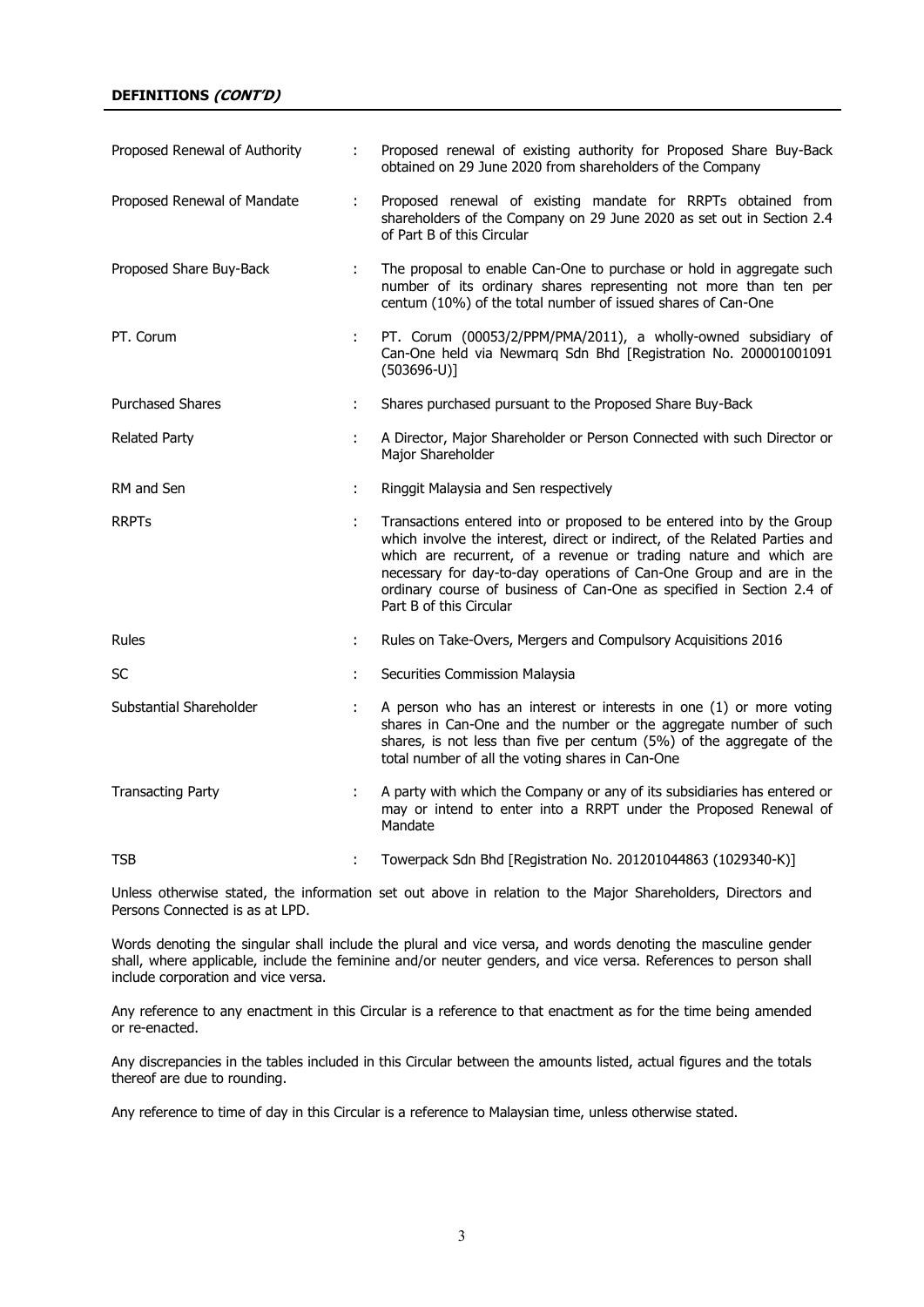### **DEFINITIONS (CONT'D)**

| Proposed Renewal of Authority |   | Proposed renewal of existing authority for Proposed Share Buy-Back<br>obtained on 29 June 2020 from shareholders of the Company                                                                                                                                                                 |
|-------------------------------|---|-------------------------------------------------------------------------------------------------------------------------------------------------------------------------------------------------------------------------------------------------------------------------------------------------|
| Proposed Renewal of Mandate   | ÷ | Proposed renewal of existing mandate for RRPTs obtained from<br>shareholders of the Company on 29 June 2020 as set out in Section 2.4<br>of Part B of this Circular                                                                                                                             |
| Proposed Share Buy-Back       | ÷ | The proposal to enable Can-One to purchase or hold in aggregate such<br>number of its ordinary shares representing not more than ten per<br>centum (10%) of the total number of issued shares of Can-One                                                                                        |
| PT. Corum                     | ÷ | PT. Corum (00053/2/PPM/PMA/2011), a wholly-owned subsidiary of<br>Can-One held via Newmarg Sdn Bhd [Registration No. 200001001091<br>$(503696-U)]$                                                                                                                                              |
| <b>Purchased Shares</b>       | ÷ | Shares purchased pursuant to the Proposed Share Buy-Back                                                                                                                                                                                                                                        |
| <b>Related Party</b>          | ÷ | A Director, Major Shareholder or Person Connected with such Director or<br>Major Shareholder                                                                                                                                                                                                    |
| RM and Sen                    | ÷ | Ringgit Malaysia and Sen respectively                                                                                                                                                                                                                                                           |
| <b>RRPT<sub>S</sub></b>       |   | Transactions entered into or proposed to be entered into by the Group<br>which involve the interest, direct or indirect, of the Related Parties and<br>which are recurrent, of a revenue or trading nature and which are<br>necessary for day-to-day operations of Can-One Group and are in the |
|                               |   | ordinary course of business of Can-One as specified in Section 2.4 of<br>Part B of this Circular                                                                                                                                                                                                |
| Rules                         | ÷ | Rules on Take-Overs, Mergers and Compulsory Acquisitions 2016                                                                                                                                                                                                                                   |
| SC                            | ÷ | Securities Commission Malaysia                                                                                                                                                                                                                                                                  |
| Substantial Shareholder       |   | A person who has an interest or interests in one (1) or more voting<br>shares in Can-One and the number or the aggregate number of such<br>shares, is not less than five per centum (5%) of the aggregate of the<br>total number of all the voting shares in Can-One                            |
| <b>Transacting Party</b>      | ÷ | A party with which the Company or any of its subsidiaries has entered or<br>may or intend to enter into a RRPT under the Proposed Renewal of<br>Mandate                                                                                                                                         |

Unless otherwise stated, the information set out above in relation to the Major Shareholders, Directors and Persons Connected is as at LPD.

Words denoting the singular shall include the plural and vice versa, and words denoting the masculine gender shall, where applicable, include the feminine and/or neuter genders, and vice versa. References to person shall include corporation and vice versa.

Any reference to any enactment in this Circular is a reference to that enactment as for the time being amended or re-enacted.

Any discrepancies in the tables included in this Circular between the amounts listed, actual figures and the totals thereof are due to rounding.

Any reference to time of day in this Circular is a reference to Malaysian time, unless otherwise stated.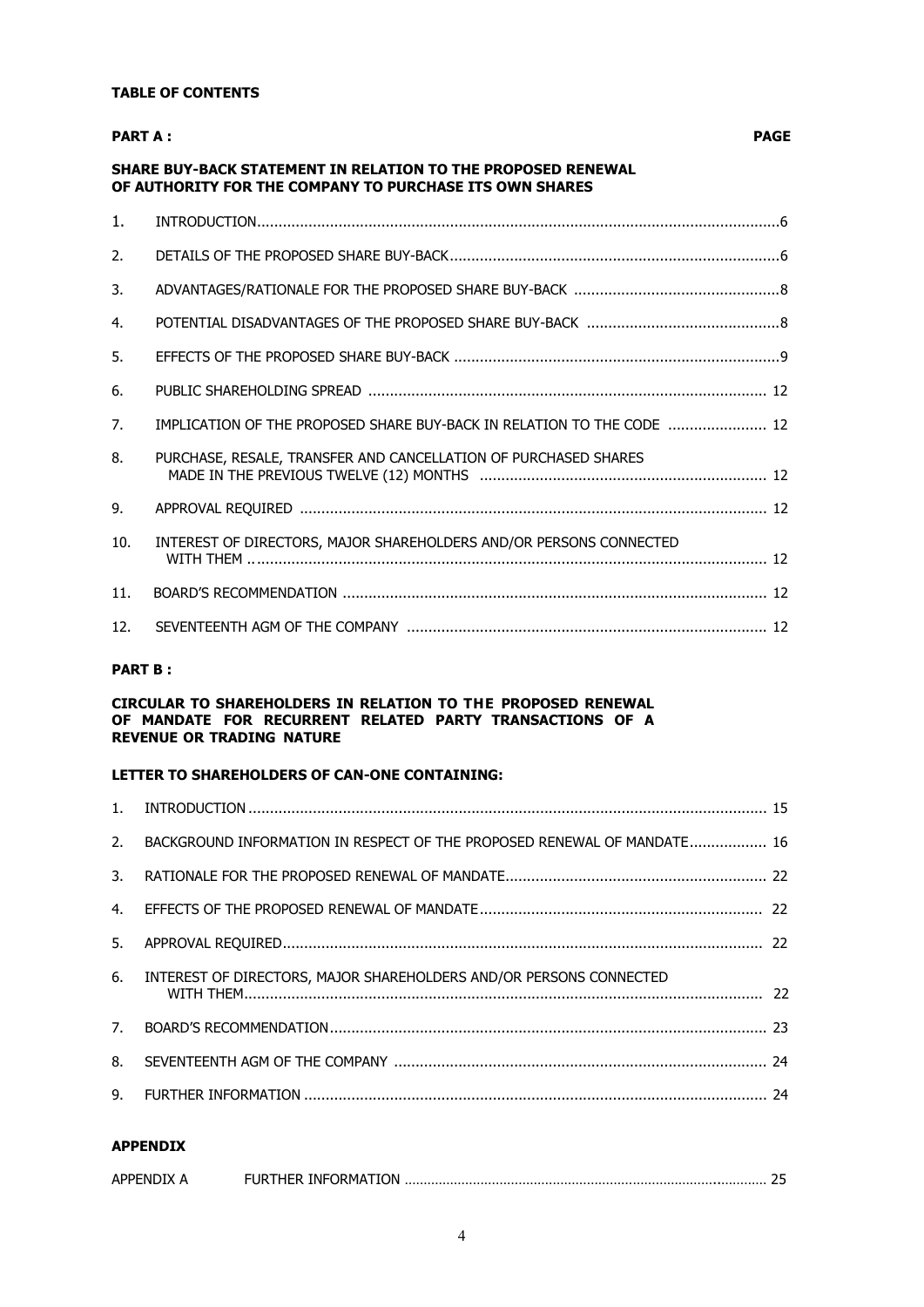### **TABLE OF CONTENTS**

| <b>PART A:</b>  |                                                                                                                                | <b>PAGE</b> |
|-----------------|--------------------------------------------------------------------------------------------------------------------------------|-------------|
|                 | <b>SHARE BUY-BACK STATEMENT IN RELATION TO THE PROPOSED RENEWAL</b><br>OF AUTHORITY FOR THE COMPANY TO PURCHASE ITS OWN SHARES |             |
| $1_{-}$         |                                                                                                                                |             |
| 2.              |                                                                                                                                |             |
| 3.              |                                                                                                                                |             |
| 4.              |                                                                                                                                |             |
| 5.              |                                                                                                                                |             |
| 6.              |                                                                                                                                |             |
| 7.              | IMPLICATION OF THE PROPOSED SHARE BUY-BACK IN RELATION TO THE CODE  12                                                         |             |
| 8.              | PURCHASE, RESALE, TRANSFER AND CANCELLATION OF PURCHASED SHARES                                                                |             |
| 9.              |                                                                                                                                |             |
| 10.             | INTEREST OF DIRECTORS, MAJOR SHAREHOLDERS AND/OR PERSONS CONNECTED                                                             |             |
| 11 <sub>1</sub> |                                                                                                                                |             |
| 12.             |                                                                                                                                |             |
|                 |                                                                                                                                |             |

### **PART B :**

### **CIRCULAR TO SHAREHOLDERS IN RELATION TO THE PROPOSED RENEWAL OF MANDATE FOR RECURRENT RELATED PARTY TRANSACTIONS OF A REVENUE OR TRADING NATURE**

# **LETTER TO SHAREHOLDERS OF CAN-ONE CONTAINING:**

| 2. BACKGROUND INFORMATION IN RESPECT OF THE PROPOSED RENEWAL OF MANDATE 16 |  |
|----------------------------------------------------------------------------|--|
|                                                                            |  |
|                                                                            |  |
|                                                                            |  |
| 6. INTEREST OF DIRECTORS, MAJOR SHAREHOLDERS AND/OR PERSONS CONNECTED      |  |
|                                                                            |  |
|                                                                            |  |
|                                                                            |  |
|                                                                            |  |

### **APPENDIX**

| <b>APPFNDIX</b> | " IRTHER INFORMATION .<br>. ب به برای استفاده استفاده استفاده استفاده استفاده استفاده استفاده استفاده استفاده استفاده استفاده استفاده اس |  |
|-----------------|------------------------------------------------------------------------------------------------------------------------------------------|--|
|                 |                                                                                                                                          |  |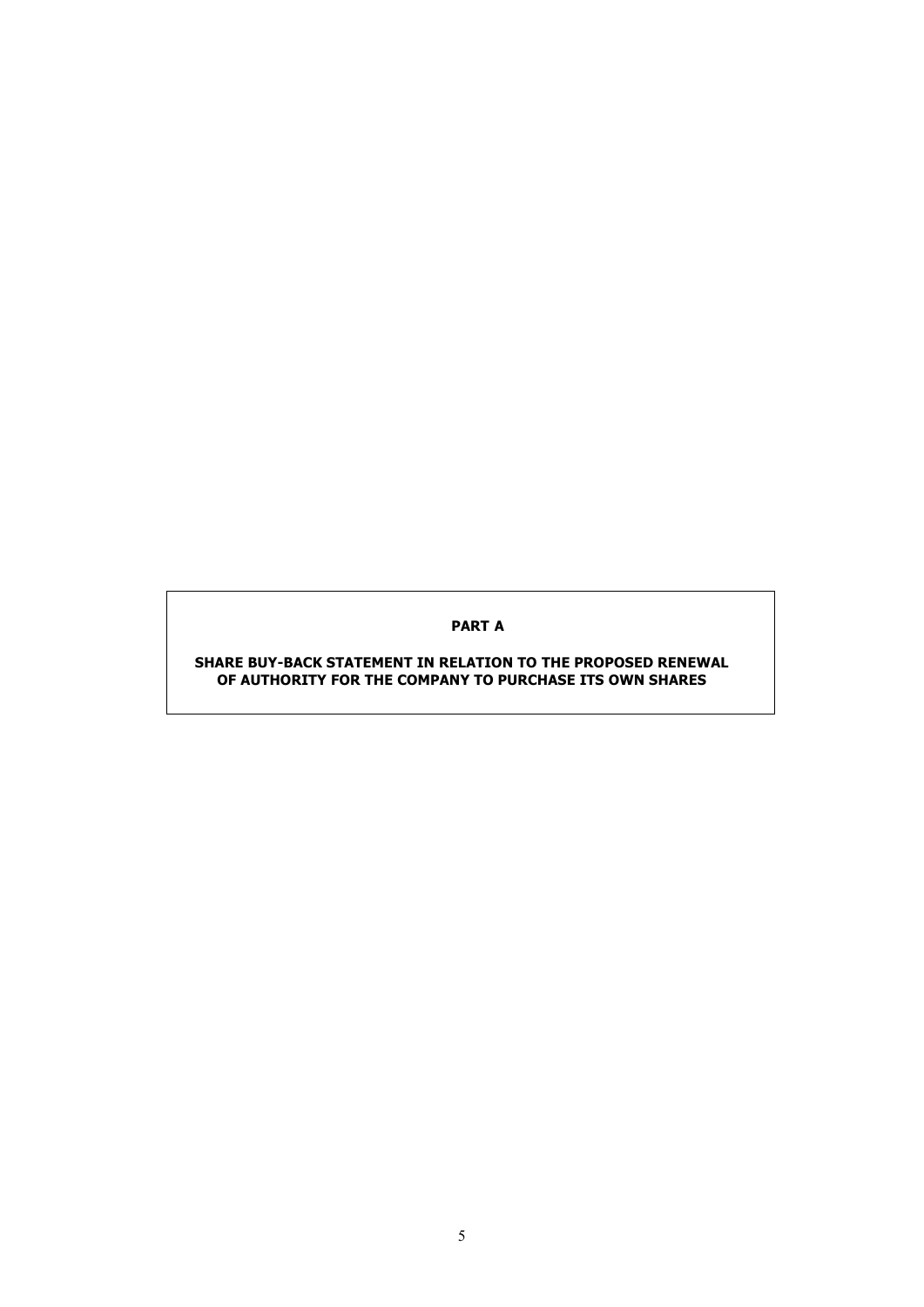**PART A**

**SHARE BUY-BACK STATEMENT IN RELATION TO THE PROPOSED RENEWAL OF AUTHORITY FOR THE COMPANY TO PURCHASE ITS OWN SHARES**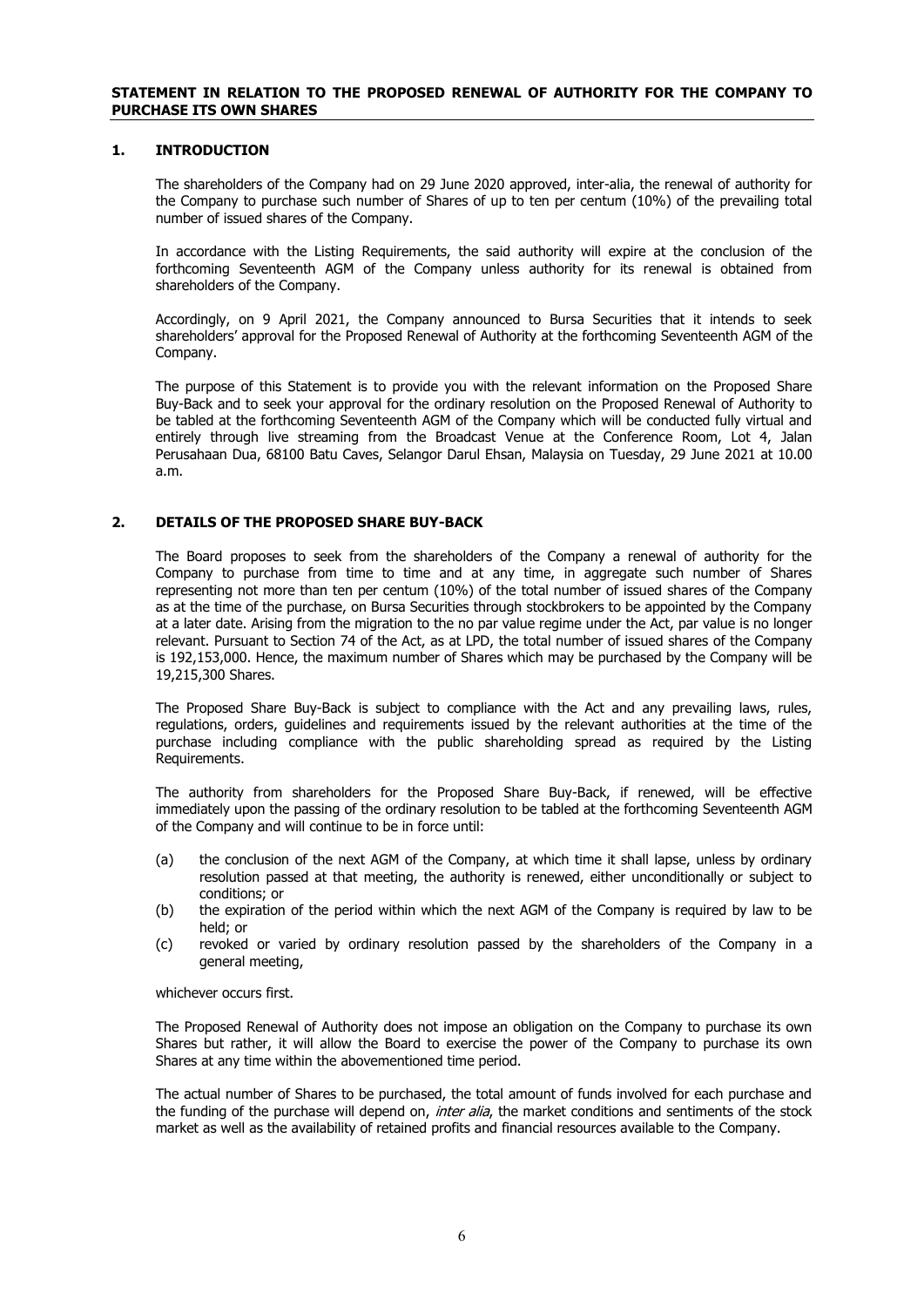### **1. INTRODUCTION**

The shareholders of the Company had on 29 June 2020 approved, inter-alia, the renewal of authority for the Company to purchase such number of Shares of up to ten per centum (10%) of the prevailing total number of issued shares of the Company.

In accordance with the Listing Requirements, the said authority will expire at the conclusion of the forthcoming Seventeenth AGM of the Company unless authority for its renewal is obtained from shareholders of the Company.

Accordingly, on 9 April 2021, the Company announced to Bursa Securities that it intends to seek shareholders' approval for the Proposed Renewal of Authority at the forthcoming Seventeenth AGM of the Company.

The purpose of this Statement is to provide you with the relevant information on the Proposed Share Buy-Back and to seek your approval for the ordinary resolution on the Proposed Renewal of Authority to be tabled at the forthcoming Seventeenth AGM of the Company which will be conducted fully virtual and entirely through live streaming from the Broadcast Venue at the Conference Room, Lot 4, Jalan Perusahaan Dua, 68100 Batu Caves, Selangor Darul Ehsan, Malaysia on Tuesday, 29 June 2021 at 10.00 a.m.

### **2. DETAILS OF THE PROPOSED SHARE BUY-BACK**

The Board proposes to seek from the shareholders of the Company a renewal of authority for the Company to purchase from time to time and at any time, in aggregate such number of Shares representing not more than ten per centum (10%) of the total number of issued shares of the Company as at the time of the purchase, on Bursa Securities through stockbrokers to be appointed by the Company at a later date. Arising from the migration to the no par value regime under the Act, par value is no longer relevant. Pursuant to Section 74 of the Act, as at LPD, the total number of issued shares of the Company is 192,153,000. Hence, the maximum number of Shares which may be purchased by the Company will be 19,215,300 Shares.

The Proposed Share Buy-Back is subject to compliance with the Act and any prevailing laws, rules, regulations, orders, guidelines and requirements issued by the relevant authorities at the time of the purchase including compliance with the public shareholding spread as required by the Listing Requirements.

The authority from shareholders for the Proposed Share Buy-Back, if renewed, will be effective immediately upon the passing of the ordinary resolution to be tabled at the forthcoming Seventeenth AGM of the Company and will continue to be in force until:

- (a) the conclusion of the next AGM of the Company, at which time it shall lapse, unless by ordinary resolution passed at that meeting, the authority is renewed, either unconditionally or subject to conditions; or
- (b) the expiration of the period within which the next AGM of the Company is required by law to be held; or
- (c) revoked or varied by ordinary resolution passed by the shareholders of the Company in a general meeting,

whichever occurs first.

The Proposed Renewal of Authority does not impose an obligation on the Company to purchase its own Shares but rather, it will allow the Board to exercise the power of the Company to purchase its own Shares at any time within the abovementioned time period.

The actual number of Shares to be purchased, the total amount of funds involved for each purchase and the funding of the purchase will depend on, *inter alia*, the market conditions and sentiments of the stock market as well as the availability of retained profits and financial resources available to the Company.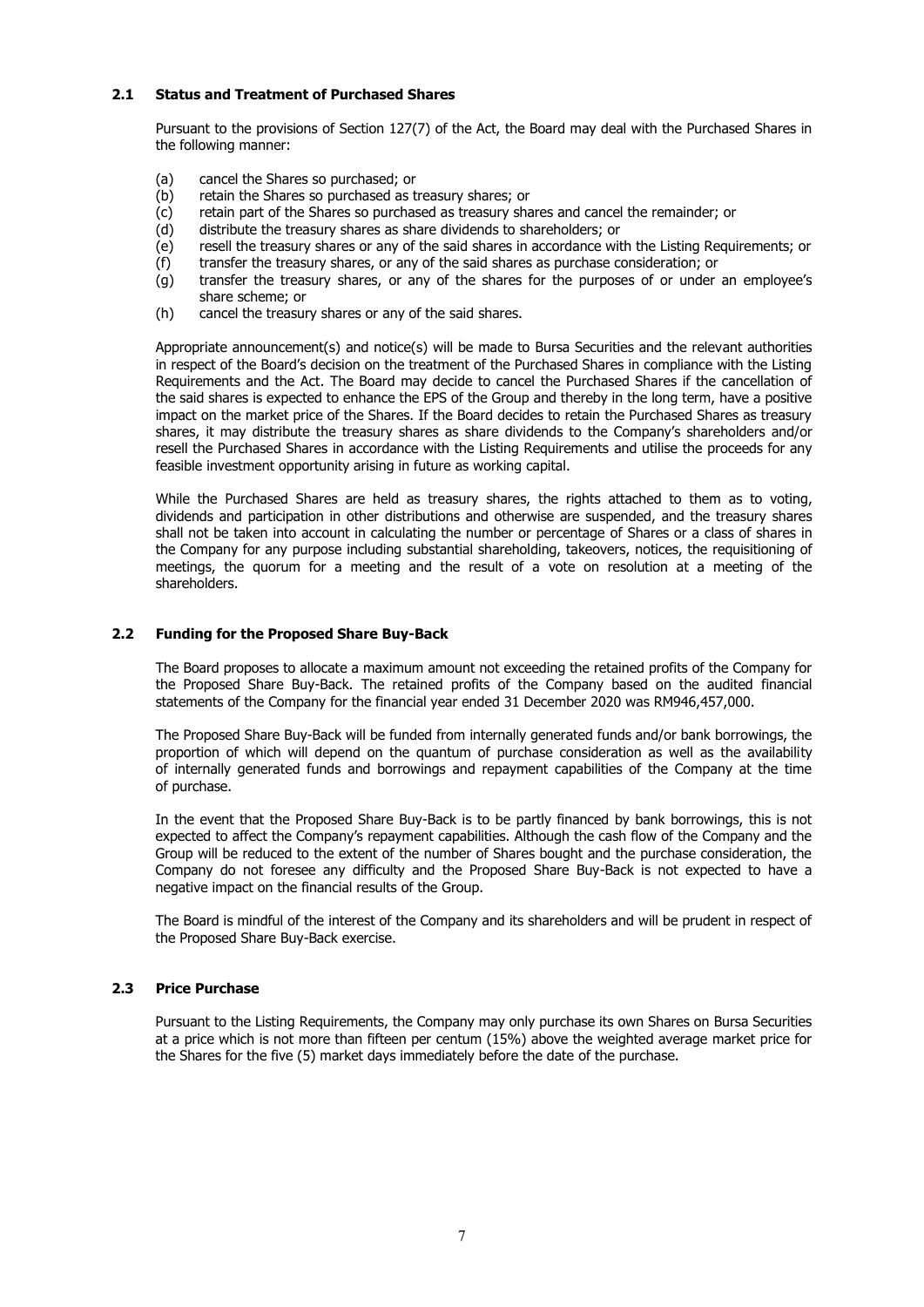### **2.1 Status and Treatment of Purchased Shares**

Pursuant to the provisions of Section 127(7) of the Act, the Board may deal with the Purchased Shares in the following manner:

- (a) cancel the Shares so purchased; or
- (b) retain the Shares so purchased as treasury shares; or
- (c) retain part of the Shares so purchased as treasury shares and cancel the remainder; or
- (d) distribute the treasury shares as share dividends to shareholders; or
- (e) resell the treasury shares or any of the said shares in accordance with the Listing Requirements; or
- (f) transfer the treasury shares, or any of the said shares as purchase consideration; or
- $(g)$  transfer the treasury shares, or any of the shares for the purposes of or under an employee's share scheme; or
- (h) cancel the treasury shares or any of the said shares.

Appropriate announcement(s) and notice(s) will be made to Bursa Securities and the relevant authorities in respect of the Board's decision on the treatment of the Purchased Shares in compliance with the Listing Requirements and the Act. The Board may decide to cancel the Purchased Shares if the cancellation of the said shares is expected to enhance the EPS of the Group and thereby in the long term, have a positive impact on the market price of the Shares. If the Board decides to retain the Purchased Shares as treasury shares, it may distribute the treasury shares as share dividends to the Company's shareholders and/or resell the Purchased Shares in accordance with the Listing Requirements and utilise the proceeds for any feasible investment opportunity arising in future as working capital.

While the Purchased Shares are held as treasury shares, the rights attached to them as to voting, dividends and participation in other distributions and otherwise are suspended, and the treasury shares shall not be taken into account in calculating the number or percentage of Shares or a class of shares in the Company for any purpose including substantial shareholding, takeovers, notices, the requisitioning of meetings, the quorum for a meeting and the result of a vote on resolution at a meeting of the shareholders.

### **2.2 Funding for the Proposed Share Buy-Back**

The Board proposes to allocate a maximum amount not exceeding the retained profits of the Company for the Proposed Share Buy-Back. The retained profits of the Company based on the audited financial statements of the Company for the financial year ended 31 December 2020 was RM946,457,000.

 The Proposed Share Buy-Back will be funded from internally generated funds and/or bank borrowings, the proportion of which will depend on the quantum of purchase consideration as well as the availability of internally generated funds and borrowings and repayment capabilities of the Company at the time of purchase.

 In the event that the Proposed Share Buy-Back is to be partly financed by bank borrowings, this is not expected to affect the Company's repayment capabilities. Although the cash flow of the Company and the Group will be reduced to the extent of the number of Shares bought and the purchase consideration, the Company do not foresee any difficulty and the Proposed Share Buy-Back is not expected to have a negative impact on the financial results of the Group.

 The Board is mindful of the interest of the Company and its shareholders and will be prudent in respect of the Proposed Share Buy-Back exercise.

### **2.3 Price Purchase**

Pursuant to the Listing Requirements, the Company may only purchase its own Shares on Bursa Securities at a price which is not more than fifteen per centum (15%) above the weighted average market price for the Shares for the five (5) market days immediately before the date of the purchase.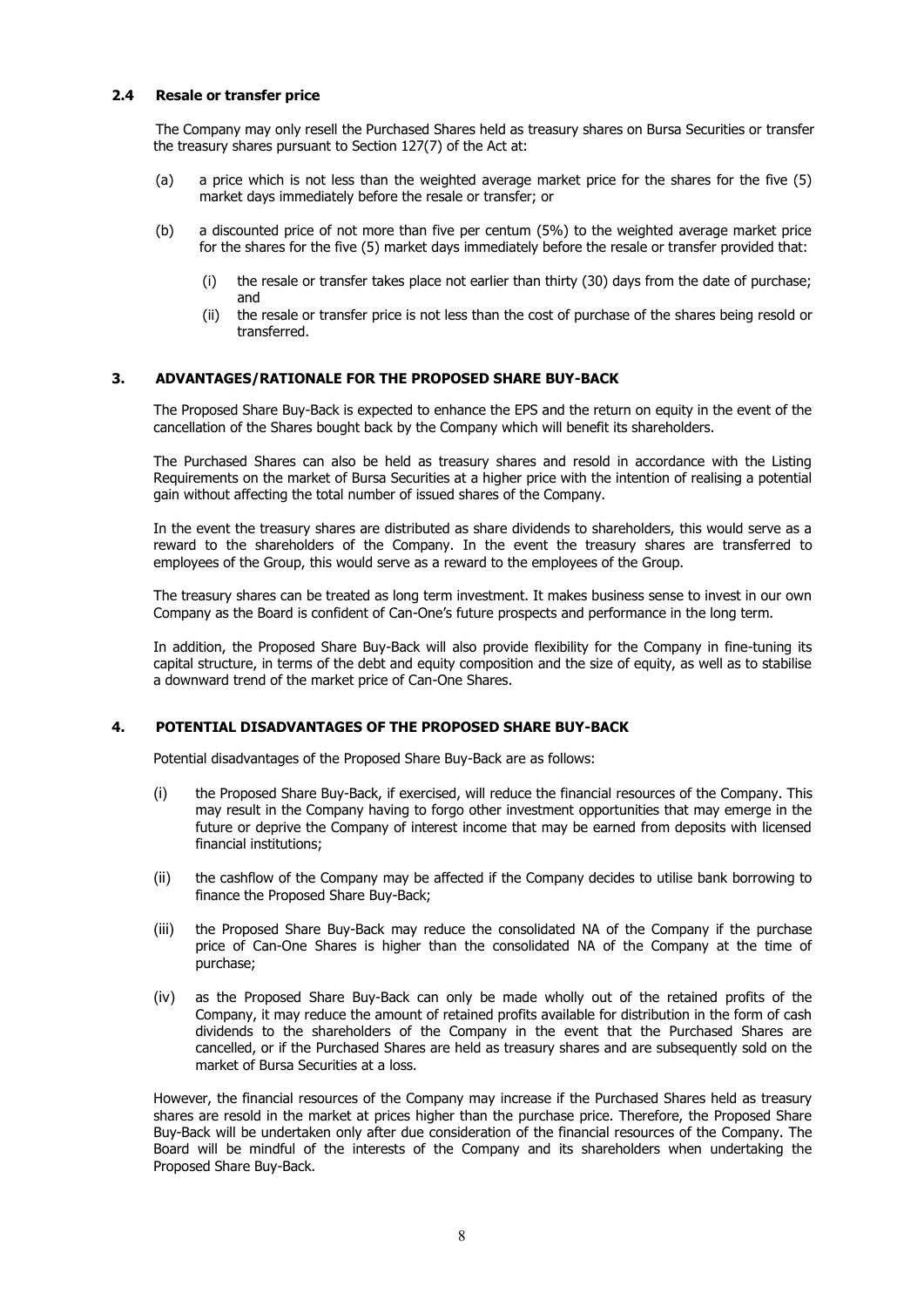### **2.4 Resale or transfer price**

The Company may only resell the Purchased Shares held as treasury shares on Bursa Securities or transfer the treasury shares pursuant to Section 127(7) of the Act at:

- (a) a price which is not less than the weighted average market price for the shares for the five (5) market days immediately before the resale or transfer; or
- (b) a discounted price of not more than five per centum (5%) to the weighted average market price for the shares for the five (5) market days immediately before the resale or transfer provided that:
	- (i) the resale or transfer takes place not earlier than thirty (30) days from the date of purchase; and
	- (ii) the resale or transfer price is not less than the cost of purchase of the shares being resold or transferred.

### **3. ADVANTAGES/RATIONALE FOR THE PROPOSED SHARE BUY-BACK**

The Proposed Share Buy-Back is expected to enhance the EPS and the return on equity in the event of the cancellation of the Shares bought back by the Company which will benefit its shareholders.

The Purchased Shares can also be held as treasury shares and resold in accordance with the Listing Requirements on the market of Bursa Securities at a higher price with the intention of realising a potential gain without affecting the total number of issued shares of the Company.

In the event the treasury shares are distributed as share dividends to shareholders, this would serve as a reward to the shareholders of the Company. In the event the treasury shares are transferred to employees of the Group, this would serve as a reward to the employees of the Group.

The treasury shares can be treated as long term investment. It makes business sense to invest in our own Company as the Board is confident of Can-One's future prospects and performance in the long term.

In addition, the Proposed Share Buy-Back will also provide flexibility for the Company in fine-tuning its capital structure, in terms of the debt and equity composition and the size of equity, as well as to stabilise a downward trend of the market price of Can-One Shares.

### **4. POTENTIAL DISADVANTAGES OF THE PROPOSED SHARE BUY-BACK**

Potential disadvantages of the Proposed Share Buy-Back are as follows:

- (i) the Proposed Share Buy-Back, if exercised, will reduce the financial resources of the Company. This may result in the Company having to forgo other investment opportunities that may emerge in the future or deprive the Company of interest income that may be earned from deposits with licensed financial institutions;
- (ii) the cashflow of the Company may be affected if the Company decides to utilise bank borrowing to finance the Proposed Share Buy-Back;
- (iii) the Proposed Share Buy-Back may reduce the consolidated NA of the Company if the purchase price of Can-One Shares is higher than the consolidated NA of the Company at the time of purchase;
- (iv) as the Proposed Share Buy-Back can only be made wholly out of the retained profits of the Company, it may reduce the amount of retained profits available for distribution in the form of cash dividends to the shareholders of the Company in the event that the Purchased Shares are cancelled, or if the Purchased Shares are held as treasury shares and are subsequently sold on the market of Bursa Securities at a loss.

However, the financial resources of the Company may increase if the Purchased Shares held as treasury shares are resold in the market at prices higher than the purchase price. Therefore, the Proposed Share Buy-Back will be undertaken only after due consideration of the financial resources of the Company. The Board will be mindful of the interests of the Company and its shareholders when undertaking the Proposed Share Buy-Back.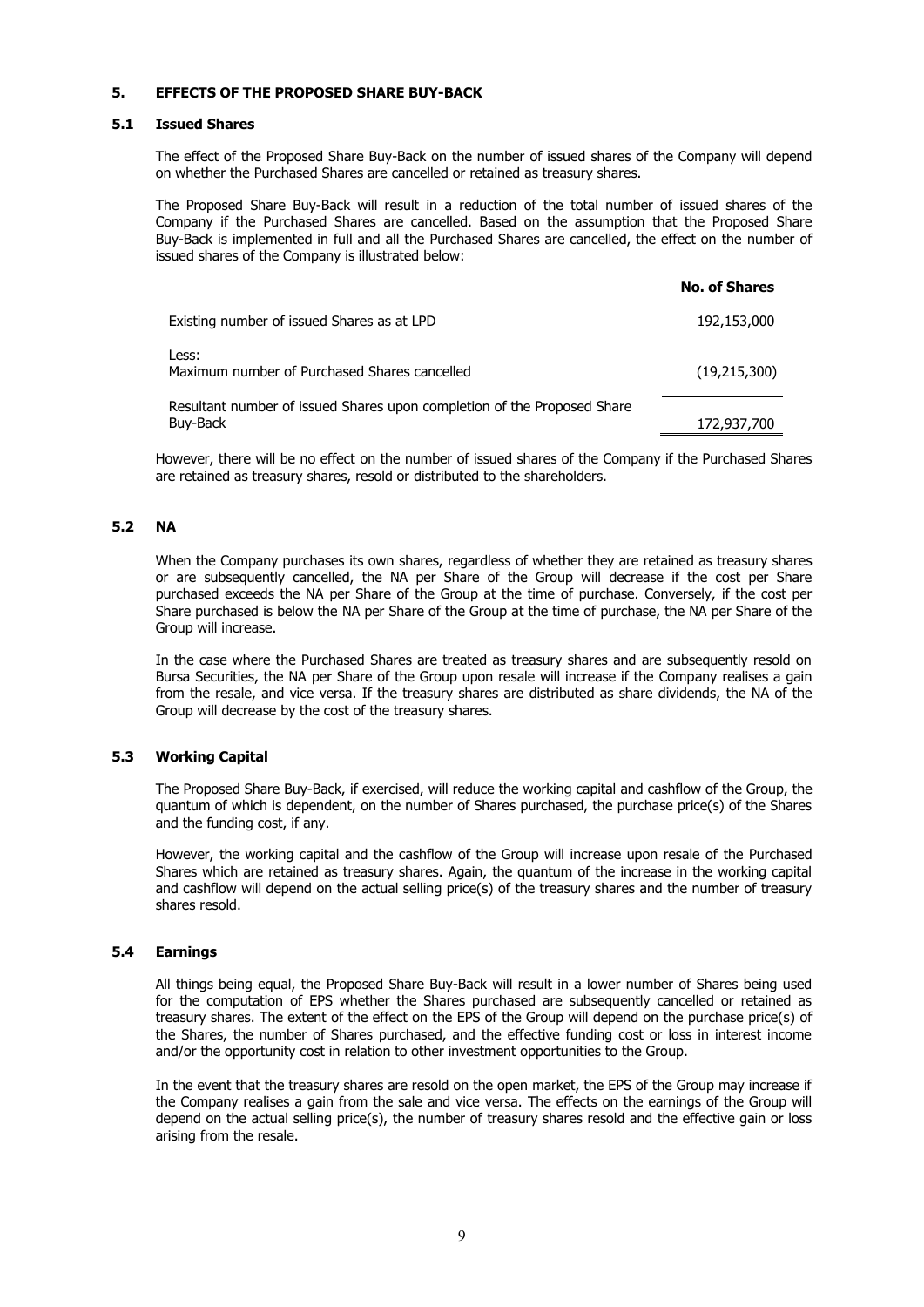### **5. EFFECTS OF THE PROPOSED SHARE BUY-BACK**

### **5.1 Issued Shares**

The effect of the Proposed Share Buy-Back on the number of issued shares of the Company will depend on whether the Purchased Shares are cancelled or retained as treasury shares.

The Proposed Share Buy-Back will result in a reduction of the total number of issued shares of the Company if the Purchased Shares are cancelled. Based on the assumption that the Proposed Share Buy-Back is implemented in full and all the Purchased Shares are cancelled, the effect on the number of issued shares of the Company is illustrated below:

|                                                                                     | <b>No. of Shares</b> |
|-------------------------------------------------------------------------------------|----------------------|
| Existing number of issued Shares as at LPD                                          | 192,153,000          |
| Less:<br>Maximum number of Purchased Shares cancelled                               | (19, 215, 300)       |
| Resultant number of issued Shares upon completion of the Proposed Share<br>Buy-Back | 172,937,700          |

However, there will be no effect on the number of issued shares of the Company if the Purchased Shares are retained as treasury shares, resold or distributed to the shareholders.

### **5.2 NA**

When the Company purchases its own shares, regardless of whether they are retained as treasury shares or are subsequently cancelled, the NA per Share of the Group will decrease if the cost per Share purchased exceeds the NA per Share of the Group at the time of purchase. Conversely, if the cost per Share purchased is below the NA per Share of the Group at the time of purchase, the NA per Share of the Group will increase.

In the case where the Purchased Shares are treated as treasury shares and are subsequently resold on Bursa Securities, the NA per Share of the Group upon resale will increase if the Company realises a gain from the resale, and vice versa. If the treasury shares are distributed as share dividends, the NA of the Group will decrease by the cost of the treasury shares.

### **5.3 Working Capital**

The Proposed Share Buy-Back, if exercised, will reduce the working capital and cashflow of the Group, the quantum of which is dependent, on the number of Shares purchased, the purchase price(s) of the Shares and the funding cost, if any.

However, the working capital and the cashflow of the Group will increase upon resale of the Purchased Shares which are retained as treasury shares. Again, the quantum of the increase in the working capital and cashflow will depend on the actual selling price(s) of the treasury shares and the number of treasury shares resold.

### **5.4 Earnings**

All things being equal, the Proposed Share Buy-Back will result in a lower number of Shares being used for the computation of EPS whether the Shares purchased are subsequently cancelled or retained as treasury shares. The extent of the effect on the EPS of the Group will depend on the purchase price(s) of the Shares, the number of Shares purchased, and the effective funding cost or loss in interest income and/or the opportunity cost in relation to other investment opportunities to the Group.

In the event that the treasury shares are resold on the open market, the EPS of the Group may increase if the Company realises a gain from the sale and vice versa. The effects on the earnings of the Group will depend on the actual selling price(s), the number of treasury shares resold and the effective gain or loss arising from the resale.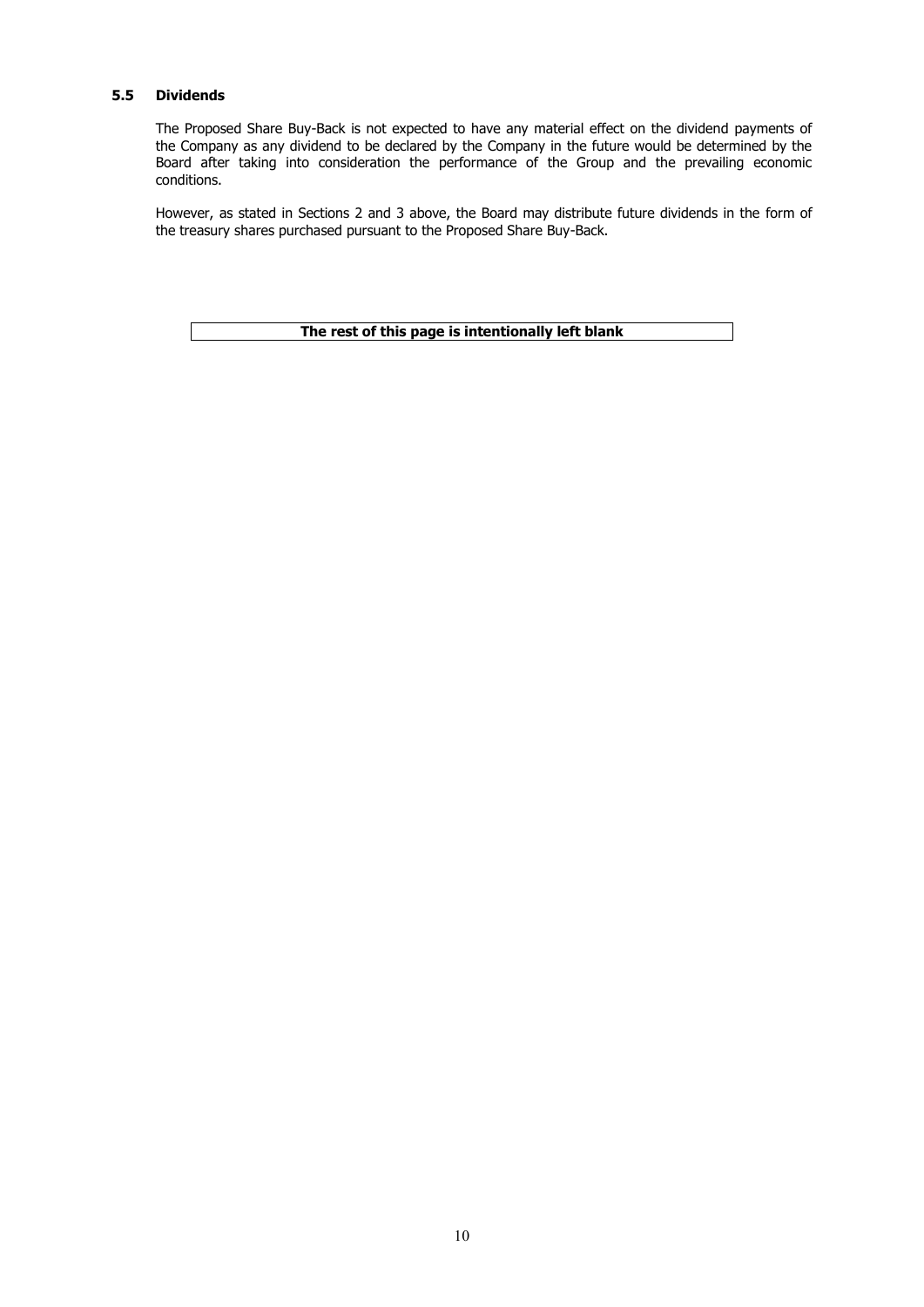### **5.5 Dividends**

The Proposed Share Buy-Back is not expected to have any material effect on the dividend payments of the Company as any dividend to be declared by the Company in the future would be determined by the Board after taking into consideration the performance of the Group and the prevailing economic conditions.

However, as stated in Sections 2 and 3 above, the Board may distribute future dividends in the form of the treasury shares purchased pursuant to the Proposed Share Buy-Back.

**The rest of this page is intentionally left blank**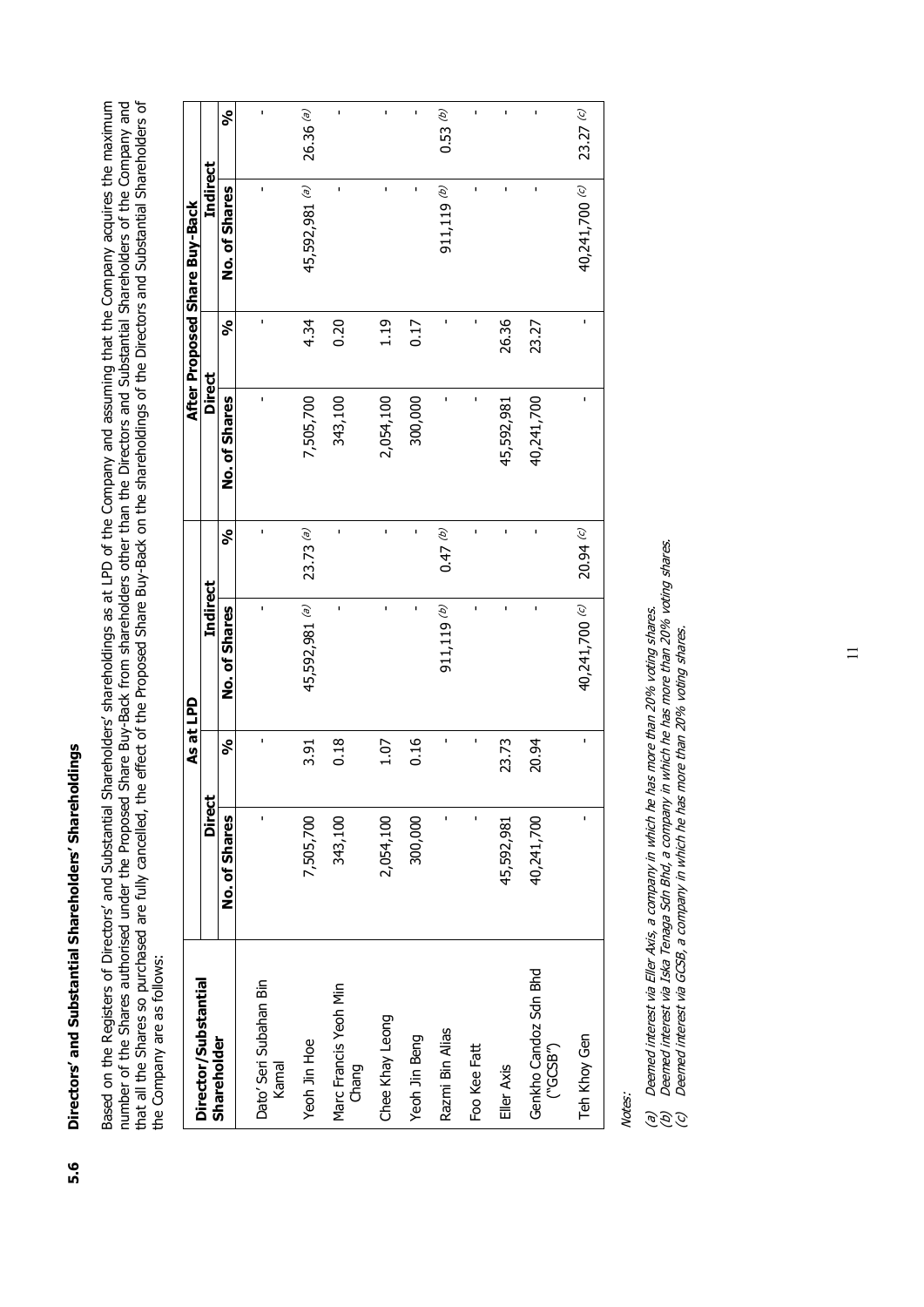Directors' and Substantial Shareholders' Shareholdings **5.6 Directors' and Substantial Shareholders' Shareholdings** 5.6 Based on the Registers of Directors' and Substantial Shareholders' shareholdings as at LPD of the Company and assuming that the Company acquires the maximum<br>number of the Shares authorised under the Proposed Share Buy-Back Based on the Registers of Directors' and Substantial Shareholders' shareholdings as at LPD of the Company and assuming that the Company acquires the maximum number of the Shares authorised under the Proposed Share Buy-Back from shareholders other than the Directors and Substantial Shareholders of the Company and that all the Shares so purchased are fully cancelled, the effect of the Proposed Share Buy-Back on the shareholdings of the Directors and Substantial Shareholders of the Company are as follows: the Company are as follows:

|                                                          |               | As at LPD    |                 |              |               |       | After Proposed Share Buy-Back |              |
|----------------------------------------------------------|---------------|--------------|-----------------|--------------|---------------|-------|-------------------------------|--------------|
| Director/Substantial                                     | <b>Direct</b> |              | <b>Indirect</b> |              | <b>Direct</b> |       | Indirect                      |              |
| <b>Shareholder</b>                                       | No. of Shares | నీ           | No. of Shares   | నీ           | No. of Shares | నీ    | No. of Shares                 | నీ           |
| Dato' Seri Subahan Bin<br>kamal                          | $\mathbf{I}$  | $\mathbf{I}$ | ı               | $\mathbf{I}$ | $\mathbf{I}$  | ı     | ı                             | $\mathbf{I}$ |
| Yeoh Jin Hoe                                             | 7,505,700     | 3.91         | 45,592,981 (a)  | $23.73$ (a)  | 7,505,700     | 4.34  | 45,592,981 (a)                | $26.36$ (a)  |
| Marc Francis Yeoh Min<br>Chang                           | 343,100       | 0.18         | ï               | í.           | 343,100       | 0.20  | ï                             | ï            |
| Chee Khay Leong                                          | 2,054,100     | 1.07         | ı               | $\mathbf{I}$ | 2,054,100     | 1.19  | ı                             | ı            |
| Yeoh Jin Beng                                            | 300,000       | 0.16         | ı               | $\mathbf{I}$ | 300,000       | 0.17  | ı                             | $\mathbf{I}$ |
| Razmi Bin Alias                                          | ï             | ı            | $911, 119$ (b)  | (47)         | ı             |       | $911, 119$ (b)                | 0.53(p)      |
| Foo Kee Fatt                                             | ı             | ı            | ï               | $\mathbf{I}$ | ı             |       | ï                             | ı            |
| Eller Axis                                               | 45,592,981    | 23.73        | ı               | f,           | 45,592,981    | 26.36 | ı                             | ï            |
| Genkho Candoz Sdn Bhd<br>$(^{\circ}GCSB^{\prime\prime})$ | 40,241,700    | 20.94        | ï               | $\mathbf{I}$ | 40,241,700    | 23.27 | ı                             | ï            |
| Teh Khoy Gen                                             | $\mathbf{I}$  | $\mathbf{I}$ | 40,241,700 (c)  | 20.94C       | $\mathbf{I}$  | ı     | 40,241,700 (c)                | 23.27(c)     |

Notes:

(a) Deemed interest via Eller Axis, a company in which he has more than 20% voting shares.

Deemed interest via Eller Axis, a company in which he has more than 20% voting shares.<br>Deemed interest via Iska Tenaga Sdn Bhd, a company in which he has more than 20% voting shares.<br>Deemed interest via GCSB, a company in (b) Deemed interest via Iska Tenaga Sdn Bhd, a company in which he has more than 20% voting shares. e<br>S<br>S<br>S<br>S<br>S<br>S<br>S<br>S<br>S<br><br><br><br><br><br><br><br><br><br><br><br><br><br><br><br><br><br/>

(c) Deemed interest via GCSB, a company in which he has more than 20% voting shares.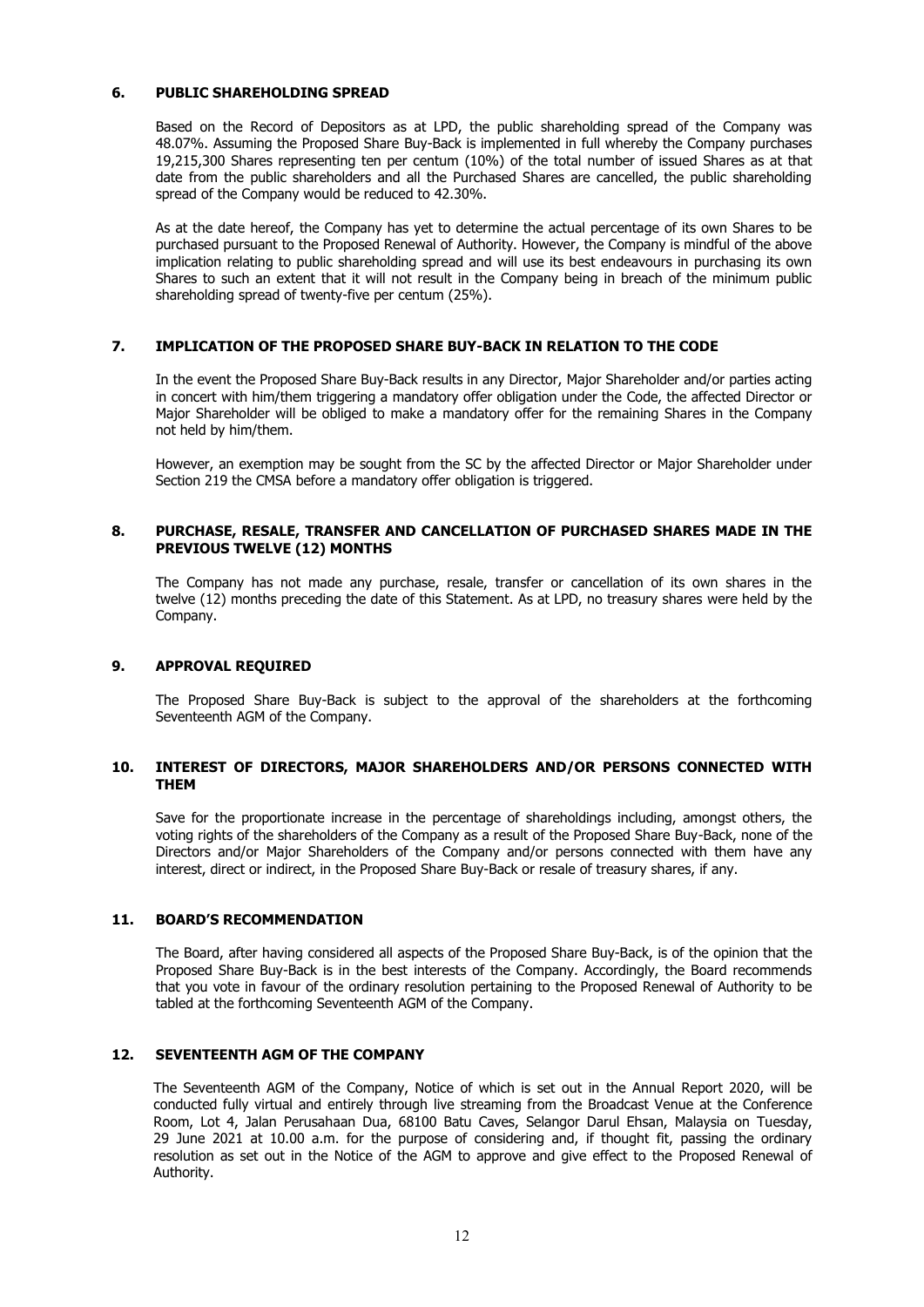### **6. PUBLIC SHAREHOLDING SPREAD**

Based on the Record of Depositors as at LPD, the public shareholding spread of the Company was 48.07%. Assuming the Proposed Share Buy-Back is implemented in full whereby the Company purchases 19,215,300 Shares representing ten per centum (10%) of the total number of issued Shares as at that date from the public shareholders and all the Purchased Shares are cancelled, the public shareholding spread of the Company would be reduced to 42.30%.

As at the date hereof, the Company has yet to determine the actual percentage of its own Shares to be purchased pursuant to the Proposed Renewal of Authority. However, the Company is mindful of the above implication relating to public shareholding spread and will use its best endeavours in purchasing its own Shares to such an extent that it will not result in the Company being in breach of the minimum public shareholding spread of twenty-five per centum (25%).

### **7. IMPLICATION OF THE PROPOSED SHARE BUY-BACK IN RELATION TO THE CODE**

In the event the Proposed Share Buy-Back results in any Director, Major Shareholder and/or parties acting in concert with him/them triggering a mandatory offer obligation under the Code, the affected Director or Major Shareholder will be obliged to make a mandatory offer for the remaining Shares in the Company not held by him/them.

However, an exemption may be sought from the SC by the affected Director or Major Shareholder under Section 219 the CMSA before a mandatory offer obligation is triggered.

### **8. PURCHASE, RESALE, TRANSFER AND CANCELLATION OF PURCHASED SHARES MADE IN THE PREVIOUS TWELVE (12) MONTHS**

The Company has not made any purchase, resale, transfer or cancellation of its own shares in the twelve (12) months preceding the date of this Statement. As at LPD, no treasury shares were held by the Company.

### **9. APPROVAL REQUIRED**

The Proposed Share Buy-Back is subject to the approval of the shareholders at the forthcoming Seventeenth AGM of the Company.

### **10. INTEREST OF DIRECTORS, MAJOR SHAREHOLDERS AND/OR PERSONS CONNECTED WITH THEM**

Save for the proportionate increase in the percentage of shareholdings including, amongst others, the voting rights of the shareholders of the Company as a result of the Proposed Share Buy-Back, none of the Directors and/or Major Shareholders of the Company and/or persons connected with them have any interest, direct or indirect, in the Proposed Share Buy-Back or resale of treasury shares, if any.

### **11. BOARD'S RECOMMENDATION**

The Board, after having considered all aspects of the Proposed Share Buy-Back, is of the opinion that the Proposed Share Buy-Back is in the best interests of the Company. Accordingly, the Board recommends that you vote in favour of the ordinary resolution pertaining to the Proposed Renewal of Authority to be tabled at the forthcoming Seventeenth AGM of the Company.

### **12. SEVENTEENTH AGM OF THE COMPANY**

The Seventeenth AGM of the Company, Notice of which is set out in the Annual Report 2020, will be conducted fully virtual and entirely through live streaming from the Broadcast Venue at the Conference Room, Lot 4, Jalan Perusahaan Dua, 68100 Batu Caves, Selangor Darul Ehsan, Malaysia on Tuesday, 29 June 2021 at 10.00 a.m. for the purpose of considering and, if thought fit, passing the ordinary resolution as set out in the Notice of the AGM to approve and give effect to the Proposed Renewal of Authority.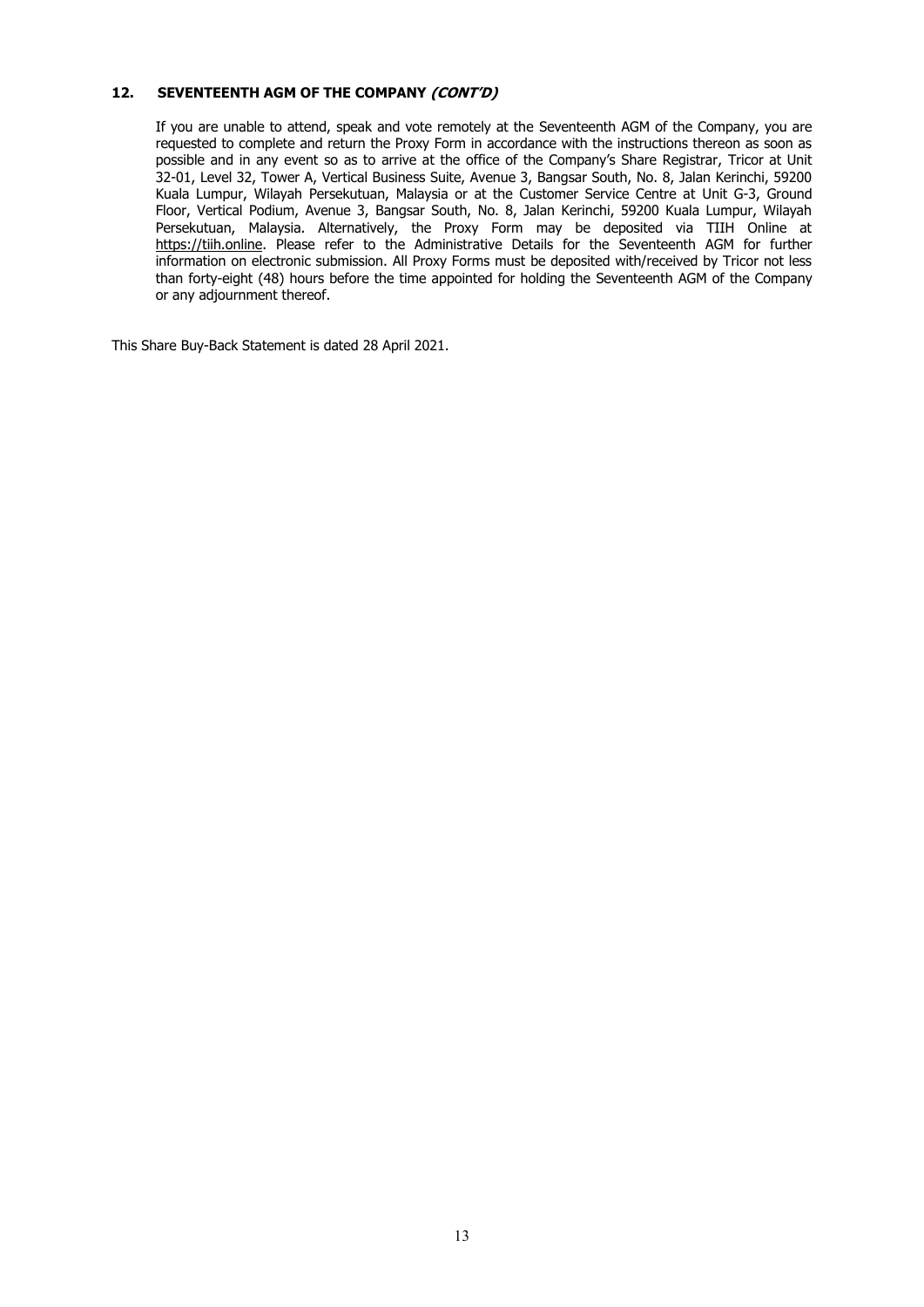### **12. SEVENTEENTH AGM OF THE COMPANY (CONT'D)**

If you are unable to attend, speak and vote remotely at the Seventeenth AGM of the Company, you are requested to complete and return the Proxy Form in accordance with the instructions thereon as soon as possible and in any event so as to arrive at the office of the Company's Share Registrar, Tricor at Unit 32-01, Level 32, Tower A, Vertical Business Suite, Avenue 3, Bangsar South, No. 8, Jalan Kerinchi, 59200 Kuala Lumpur, Wilayah Persekutuan, Malaysia or at the Customer Service Centre at Unit G-3, Ground Floor, Vertical Podium, Avenue 3, Bangsar South, No. 8, Jalan Kerinchi, 59200 Kuala Lumpur, Wilayah Persekutuan, Malaysia. Alternatively, the Proxy Form may be deposited via TIIH Online at https://tiih.online. Please refer to the Administrative Details for the Seventeenth AGM for further information on electronic submission. All Proxy Forms must be deposited with/received by Tricor not less than forty-eight (48) hours before the time appointed for holding the Seventeenth AGM of the Company or any adjournment thereof.

This Share Buy-Back Statement is dated 28 April 2021.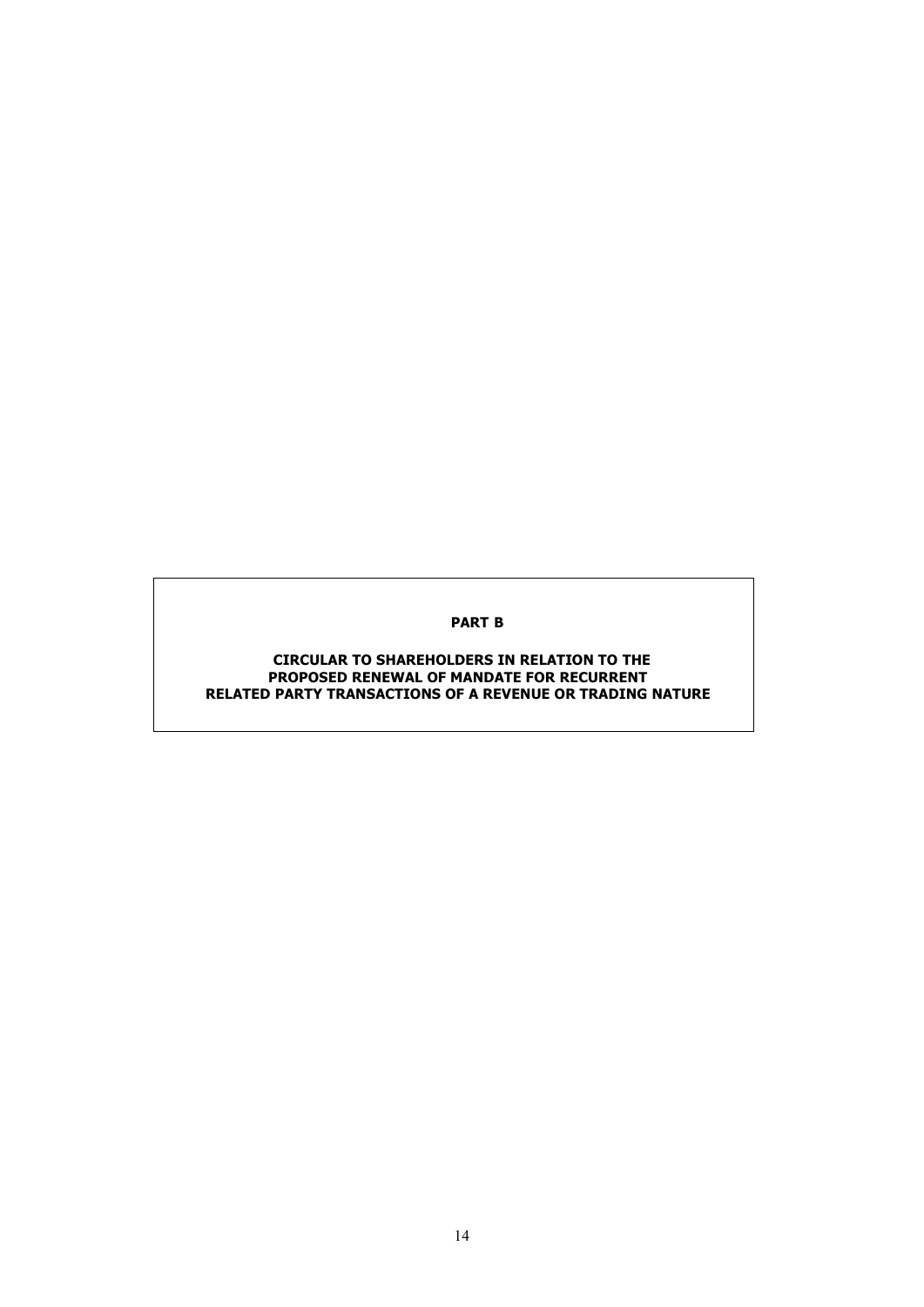### **PART B**

### **CIRCULAR TO SHAREHOLDERS IN RELATION TO THE PROPOSED RENEWAL OF MANDATE FOR RECURRENT RELATED PARTY TRANSACTIONS OF A REVENUE OR TRADING NATURE**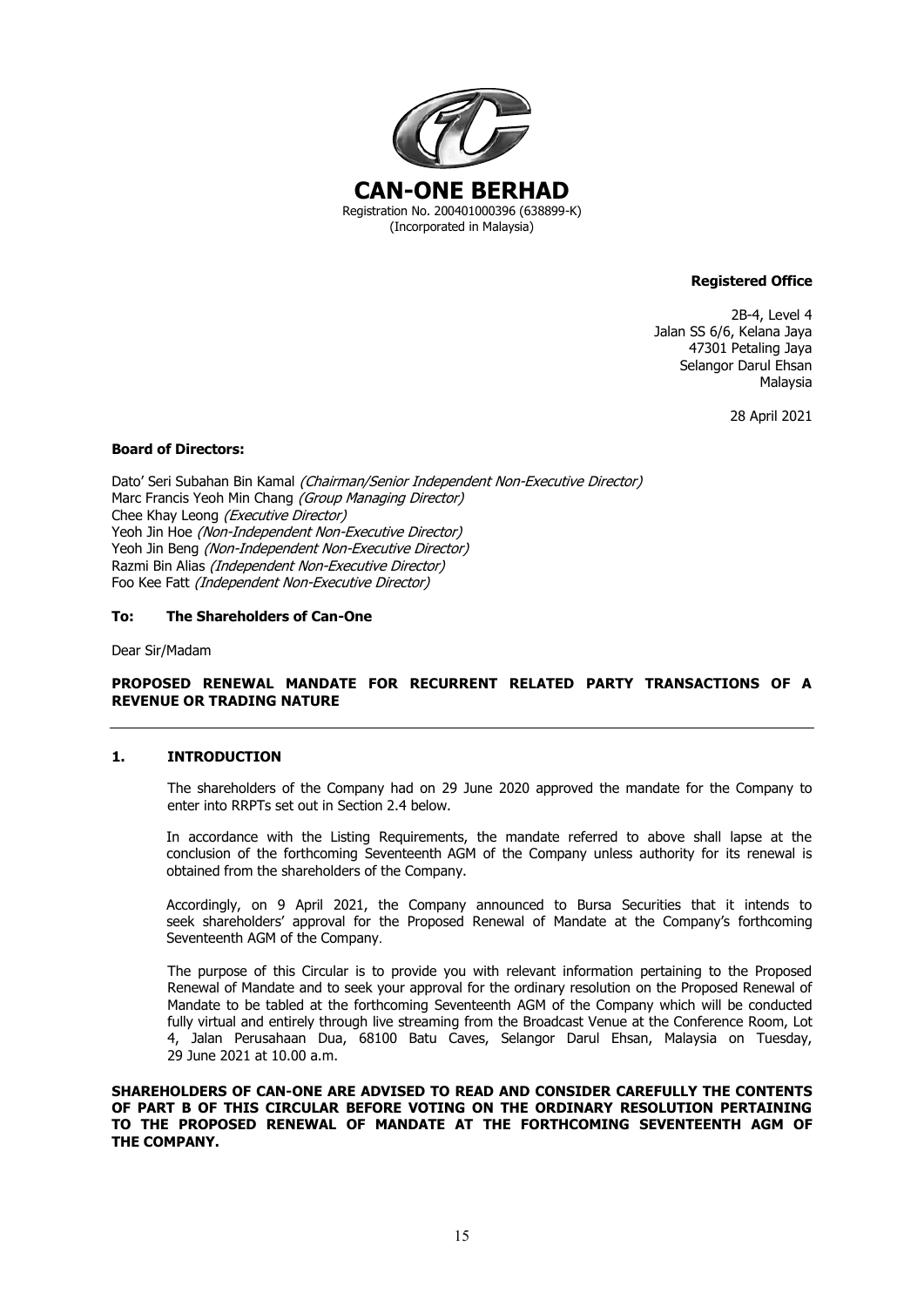

### **Registered Office**

2B-4, Level 4 Jalan SS 6/6, Kelana Jaya 47301 Petaling Jaya Selangor Darul Ehsan Malaysia

28 April 2021

### **Board of Directors:**

Dato' Seri Subahan Bin Kamal (Chairman/Senior Independent Non-Executive Director) Marc Francis Yeoh Min Chang (Group Managing Director) Chee Khay Leong (Executive Director) Yeoh Jin Hoe (Non-Independent Non-Executive Director) Yeoh Jin Beng (Non-Independent Non-Executive Director) Razmi Bin Alias (Independent Non-Executive Director) Foo Kee Fatt (Independent Non-Executive Director)

### **To: The Shareholders of Can-One**

Dear Sir/Madam

### **PROPOSED RENEWAL MANDATE FOR RECURRENT RELATED PARTY TRANSACTIONS OF A REVENUE OR TRADING NATURE**

### **1. INTRODUCTION**

The shareholders of the Company had on 29 June 2020 approved the mandate for the Company to enter into RRPTs set out in Section 2.4 below.

In accordance with the Listing Requirements, the mandate referred to above shall lapse at the conclusion of the forthcoming Seventeenth AGM of the Company unless authority for its renewal is obtained from the shareholders of the Company.

Accordingly, on 9 April 2021, the Company announced to Bursa Securities that it intends to seek shareholders' approval for the Proposed Renewal of Mandate at the Company's forthcoming Seventeenth AGM of the Company.

The purpose of this Circular is to provide you with relevant information pertaining to the Proposed Renewal of Mandate and to seek your approval for the ordinary resolution on the Proposed Renewal of Mandate to be tabled at the forthcoming Seventeenth AGM of the Company which will be conducted fully virtual and entirely through live streaming from the Broadcast Venue at the Conference Room, Lot 4, Jalan Perusahaan Dua, 68100 Batu Caves, Selangor Darul Ehsan, Malaysia on Tuesday, 29 June 2021 at 10.00 a.m.

**SHAREHOLDERS OF CAN-ONE ARE ADVISED TO READ AND CONSIDER CAREFULLY THE CONTENTS OF PART B OF THIS CIRCULAR BEFORE VOTING ON THE ORDINARY RESOLUTION PERTAINING TO THE PROPOSED RENEWAL OF MANDATE AT THE FORTHCOMING SEVENTEENTH AGM OF THE COMPANY.**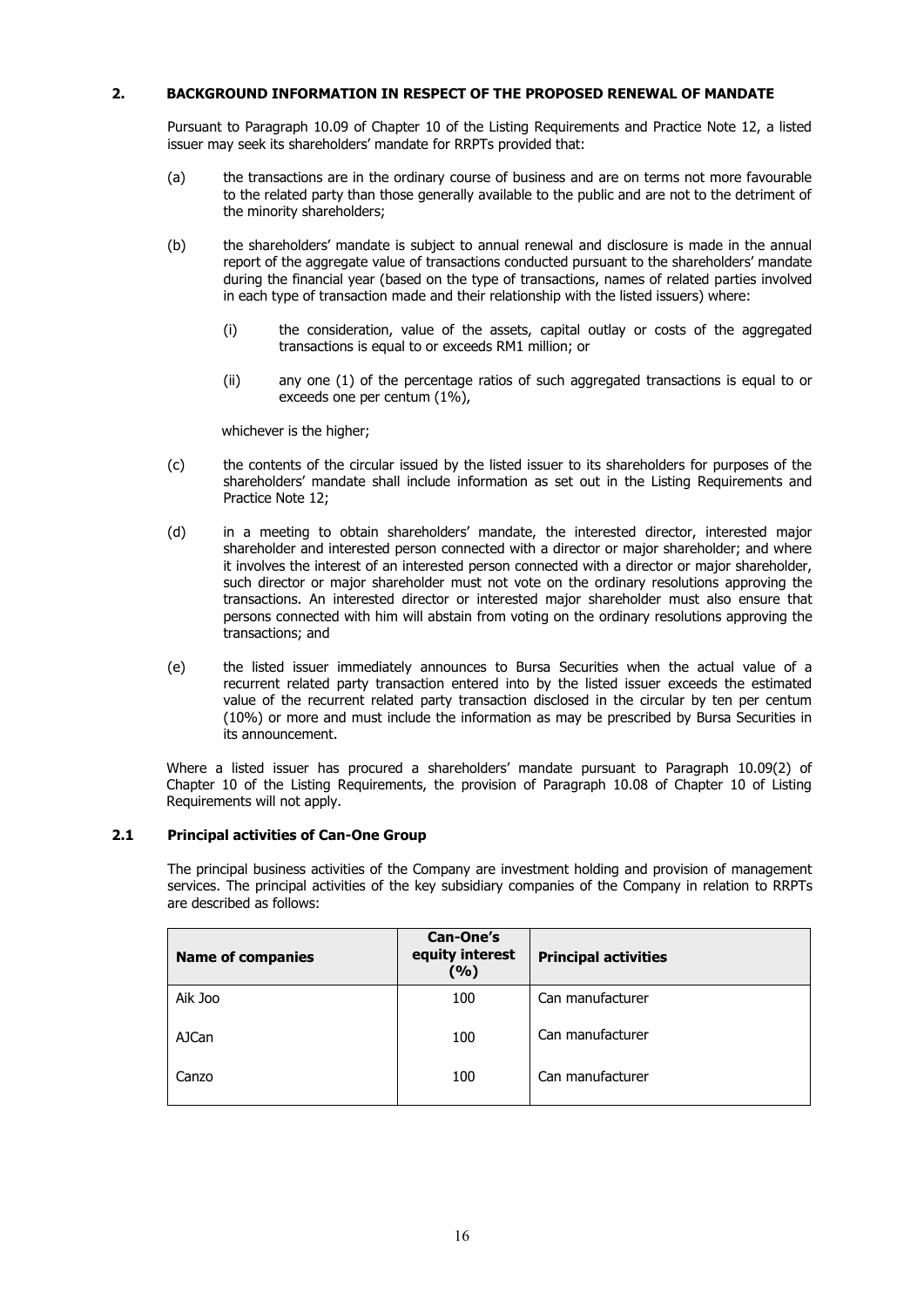### **2. BACKGROUND INFORMATION IN RESPECT OF THE PROPOSED RENEWAL OF MANDATE**

Pursuant to Paragraph 10.09 of Chapter 10 of the Listing Requirements and Practice Note 12, a listed issuer may seek its shareholders' mandate for RRPTs provided that:

- (a) the transactions are in the ordinary course of business and are on terms not more favourable to the related party than those generally available to the public and are not to the detriment of the minority shareholders;
- (b) the shareholders' mandate is subject to annual renewal and disclosure is made in the annual report of the aggregate value of transactions conducted pursuant to the shareholders' mandate during the financial year (based on the type of transactions, names of related parties involved in each type of transaction made and their relationship with the listed issuers) where:
	- (i) the consideration, value of the assets, capital outlay or costs of the aggregated transactions is equal to or exceeds RM1 million; or
	- (ii) any one (1) of the percentage ratios of such aggregated transactions is equal to or exceeds one per centum (1%),

whichever is the higher;

- (c) the contents of the circular issued by the listed issuer to its shareholders for purposes of the shareholders' mandate shall include information as set out in the Listing Requirements and Practice Note 12;
- (d) in a meeting to obtain shareholders' mandate, the interested director, interested major shareholder and interested person connected with a director or major shareholder; and where it involves the interest of an interested person connected with a director or major shareholder, such director or major shareholder must not vote on the ordinary resolutions approving the transactions. An interested director or interested major shareholder must also ensure that persons connected with him will abstain from voting on the ordinary resolutions approving the transactions; and
- (e) the listed issuer immediately announces to Bursa Securities when the actual value of a recurrent related party transaction entered into by the listed issuer exceeds the estimated value of the recurrent related party transaction disclosed in the circular by ten per centum (10%) or more and must include the information as may be prescribed by Bursa Securities in its announcement.

Where a listed issuer has procured a shareholders' mandate pursuant to Paragraph 10.09(2) of Chapter 10 of the Listing Requirements, the provision of Paragraph 10.08 of Chapter 10 of Listing Requirements will not apply.

### **2.1 Principal activities of Can-One Group**

The principal business activities of the Company are investment holding and provision of management services. The principal activities of the key subsidiary companies of the Company in relation to RRPTs are described as follows:

| <b>Name of companies</b> | <b>Can-One's</b><br>equity interest<br>(%) | <b>Principal activities</b> |
|--------------------------|--------------------------------------------|-----------------------------|
| Aik Joo                  | 100                                        | Can manufacturer            |
| <b>AJCan</b>             | 100                                        | Can manufacturer            |
| Canzo                    | 100                                        | Can manufacturer            |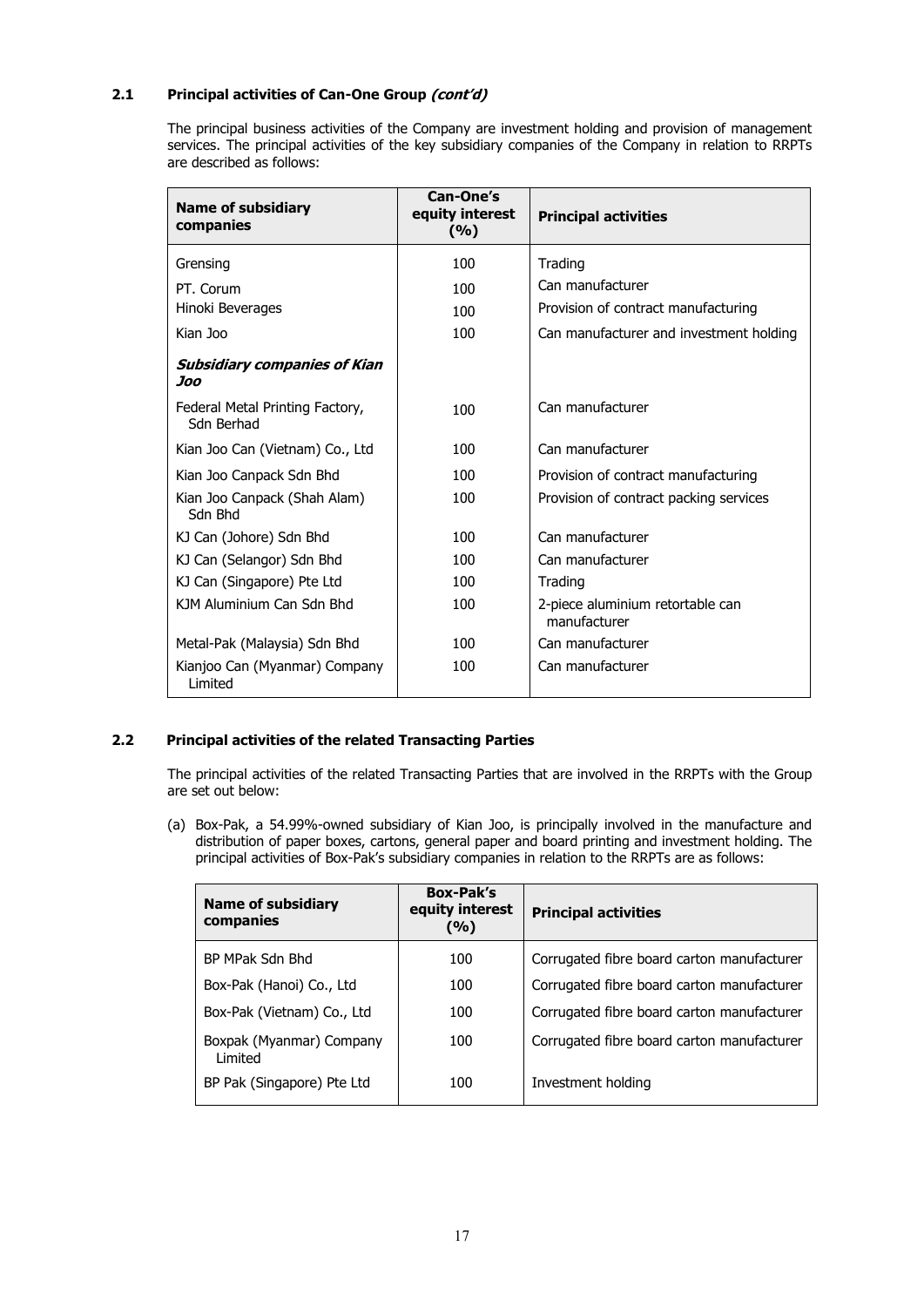## **2.1 Principal activities of Can-One Group (cont'd)**

The principal business activities of the Company are investment holding and provision of management services. The principal activities of the key subsidiary companies of the Company in relation to RRPTs are described as follows:

| <b>Name of subsidiary</b><br>companies        | Can-One's<br>equity interest<br>(%) | <b>Principal activities</b>                      |
|-----------------------------------------------|-------------------------------------|--------------------------------------------------|
| Grensing                                      | 100                                 | Trading                                          |
| PT. Corum                                     | 100                                 | Can manufacturer                                 |
| Hinoki Beverages                              | 100                                 | Provision of contract manufacturing              |
| Kian Joo                                      | 100                                 | Can manufacturer and investment holding          |
| <b>Subsidiary companies of Kian</b><br>Joo    |                                     |                                                  |
| Federal Metal Printing Factory,<br>Sdn Berhad | 100                                 | Can manufacturer                                 |
| Kian Joo Can (Vietnam) Co., Ltd               | 100                                 | Can manufacturer                                 |
| Kian Joo Canpack Sdn Bhd                      | 100                                 | Provision of contract manufacturing              |
| Kian Joo Canpack (Shah Alam)<br>Sdn Bhd       | 100                                 | Provision of contract packing services           |
| KJ Can (Johore) Sdn Bhd                       | 100                                 | Can manufacturer                                 |
| KJ Can (Selangor) Sdn Bhd                     | 100                                 | Can manufacturer                                 |
| KJ Can (Singapore) Pte Ltd                    | 100                                 | Trading                                          |
| KJM Aluminium Can Sdn Bhd                     | 100                                 | 2-piece aluminium retortable can<br>manufacturer |
| Metal-Pak (Malaysia) Sdn Bhd                  | 100                                 | Can manufacturer                                 |
| Kianjoo Can (Myanmar) Company<br>Limited      | 100                                 | Can manufacturer                                 |

### **2.2 Principal activities of the related Transacting Parties**

The principal activities of the related Transacting Parties that are involved in the RRPTs with the Group are set out below:

(a) Box-Pak, a 54.99%-owned subsidiary of Kian Joo, is principally involved in the manufacture and distribution of paper boxes, cartons, general paper and board printing and investment holding. The principal activities of Box-Pak's subsidiary companies in relation to the RRPTs are as follows:

| <b>Name of subsidiary</b><br>companies | <b>Box-Pak's</b><br>equity interest<br>(%) | <b>Principal activities</b>                |
|----------------------------------------|--------------------------------------------|--------------------------------------------|
| BP MPak Sdn Bhd                        | 100                                        | Corrugated fibre board carton manufacturer |
| Box-Pak (Hanoi) Co., Ltd               | 100                                        | Corrugated fibre board carton manufacturer |
| Box-Pak (Vietnam) Co., Ltd             | 100                                        | Corrugated fibre board carton manufacturer |
| Boxpak (Myanmar) Company<br>I imited   | 100                                        | Corrugated fibre board carton manufacturer |
| BP Pak (Singapore) Pte Ltd             | 100                                        | Investment holding                         |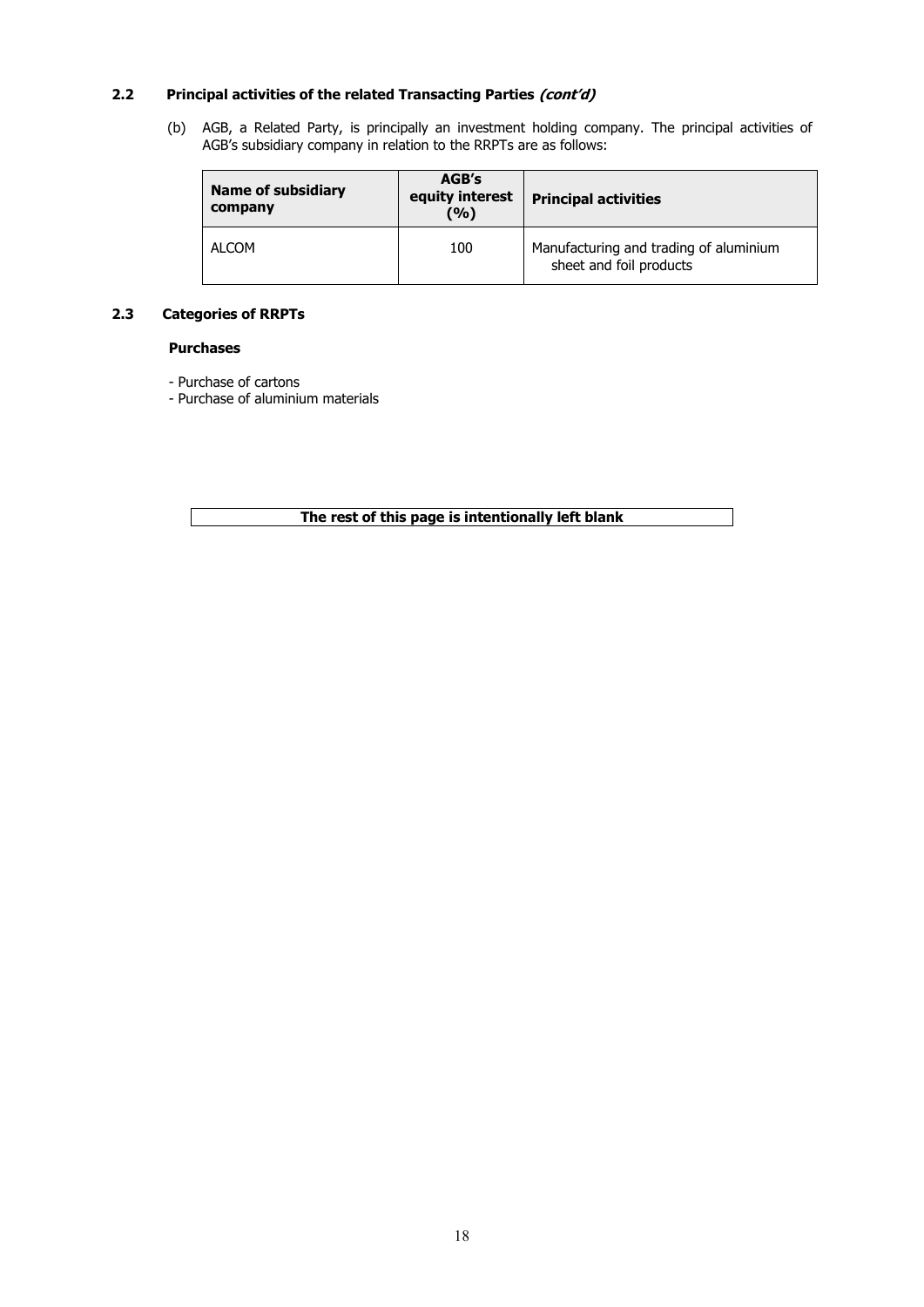### **2.2 Principal activities of the related Transacting Parties (cont'd)**

(b) AGB, a Related Party, is principally an investment holding company. The principal activities of AGB's subsidiary company in relation to the RRPTs are as follows:

| <b>Name of subsidiary</b><br>company | AGB's<br>equity interest<br>(%) | <b>Principal activities</b>                                       |
|--------------------------------------|---------------------------------|-------------------------------------------------------------------|
| ALCOM                                | 100                             | Manufacturing and trading of aluminium<br>sheet and foil products |

### **2.3 Categories of RRPTs**

### **Purchases**

- Purchase of cartons
- Purchase of aluminium materials

**The rest of this page is intentionally left blank**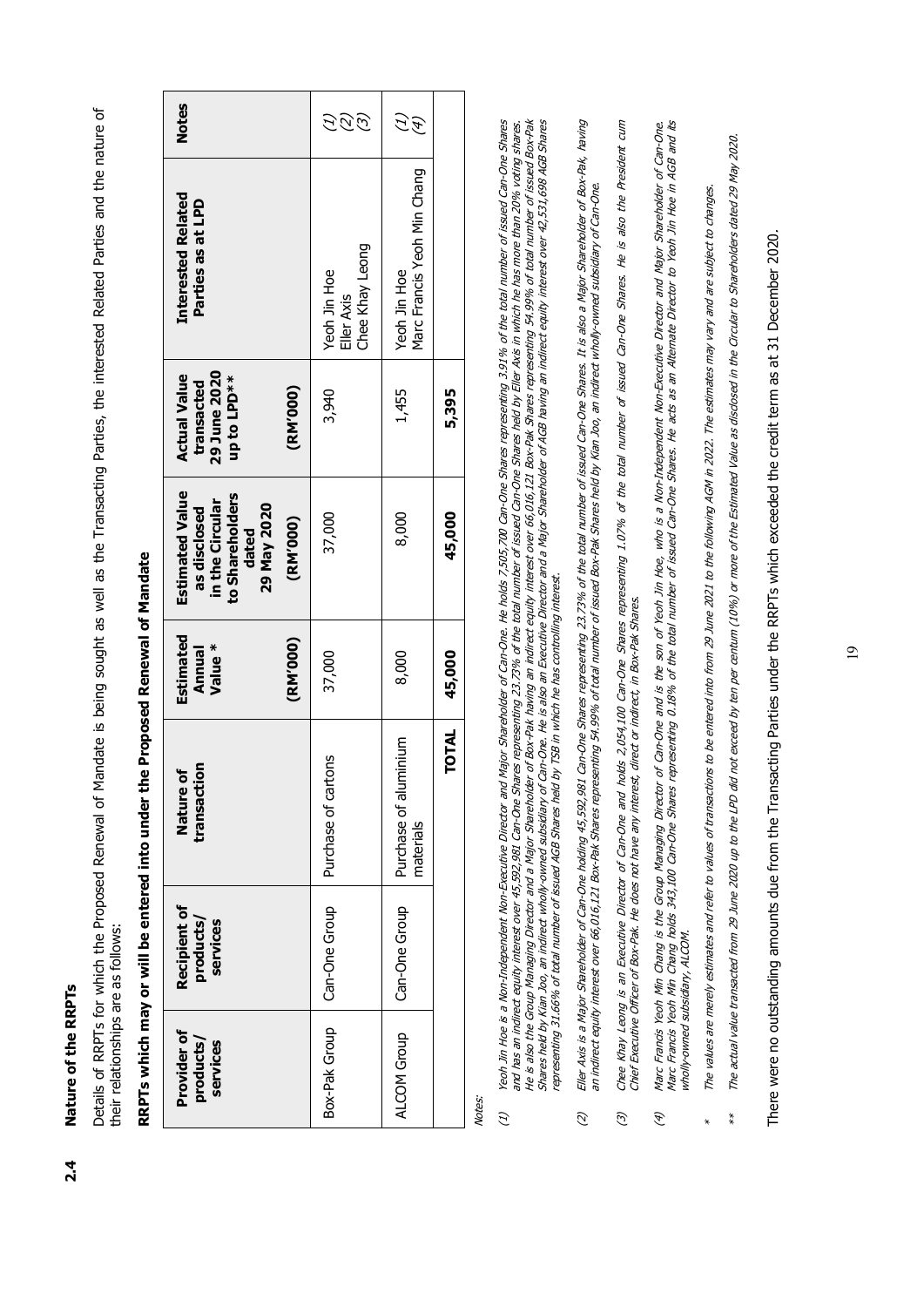Nature of the RRPTs **2.4 Nature of the RRPTs**  $2.4$  Details of RRPTs for which the Proposed Renewal of Mandate is being sought as well as the Transacting Parties, the interested Related Parties and the nature of Details of RRPTs for which the Proposed Renewal of Mandate is being sought as well as the Transacting Parties, the interested Related Parties and the nature of their relationships are as follows: their relationships are as follows:

| <b>Notes</b>                                                                                                     | $\mathcal{G}$<br>E                            | $\mathscr{F}$                               |              |
|------------------------------------------------------------------------------------------------------------------|-----------------------------------------------|---------------------------------------------|--------------|
| <b>Interested Related</b><br>Parties as at LPD                                                                   | Chee Khay Leong<br>Yeoh Jin Hoe<br>Eller Axis | Marc Francis Yeoh Min Chang<br>Yeoh Jin Hoe |              |
| 29 June 2020<br><b>Actual Value</b><br>up to LPD**<br>transacted<br>(RM'000)                                     | 3,940                                         | 1,455                                       | 5,395        |
| <b>Estimated Value</b><br>to Shareholders<br>in the Circular<br>29 May 2020<br>as disclosed<br>(RM'000)<br>dated | 37,000                                        | 8,000                                       | 45,000       |
| Estimated<br>(RM'000)<br>Value*<br>Annual                                                                        | 37,000                                        | 8,000                                       | 45,000       |
| transaction<br>ð<br>Nature                                                                                       | Purchase of cartons                           | Purchase of aluminium<br>materials          | <b>TOTAL</b> |
| Recipient of<br>products/<br>services                                                                            | Can-One Group                                 | Can-One Group                               |              |
| Provider of<br>products/<br>services                                                                             | Box-Pak Group                                 | ALCOM Group                                 |              |

# RRPTs which may or will be entered into under the Proposed Renewal of Mandate  **RRPTs which may or will be entered into under the Proposed Renewal of Mandate**

Notes:

- He is also the Group Managing Director and a Major Shareholder of Box-Pak merest over 66,016,121 Box-Pak Shares representing 54.99% of total number of issued Box-Pak<br>Shares held by Kian Joo, an indirect wholly-owned subscr eon Jin Hoe is a Non-Independent Non-Executive Director and Major Shareholder of Can-One. He Nods 7,505,700 Can-One Shares representing 3.91% of the total number of issued Can-One Shares (1) Yeoh Jin Hoe is a Non-Independent Non-Executive Director and Major Shareholder of Can-One. He holds 7,505,700 Can-One Shares representing 3.91% of the total number of issued Can-One Shares and has an indirect equity interest over 45,592,981 Can-One Shares representing 23.73% of the total number of issued Can-One Shares held by Eller Axis in which he has more than 20% voting shares. and has an indirect equity interest over 45,592,981 Can-One Shares representing 23.73% of the total number of issued Can-One Shares held by Eller Axis in which he has more than 20% voting shares. He is also the Group Managing Director and a Major Shareholder of Box-Pak having an indirect equity interest over 66,016,121 Box-Pak Shares representing 54.99% of total number of issued Box-Pak Shares held by Kian Joo, an indirect wholly-owned subsidiary of Can-One. He is also an Director and a Major Shareholder of AGB having an indirect equity interest over 42,531,698 AGB Shares representing 31.66% of total number of issued AGB Shares held by TSB in which he has controlling interest.  $\overline{c}$
- Eller Axis is a Major Shareholder of Can-One holding 45,592,981 Can-One Shares representing 23.73% of the total number of issued Can-One Shares. It is also a Major Shareholder of Box-Pak, having<br>an indirect equity interest (2) Eller Axis is a Major Shareholder of Can-One holding 45,592,981 Can-One Shares representing 23.73% of the total number of issued Can-One Shares. It is also a Major Shareholder of Box-Pak, having an indirect equity interest over 66,016,121 Box-Pak Shares representing 54.99% of total number of issued Box-Pak Shares held by Kian Joo, an indirect wholly-owned subsidiary of Can-One.  $\mathcal{D}$
- Chee Khay Leong is an Executive Director of Can-One and holds 2,054,100 Can-One Shares representing 1.07% of the total number of issued Can-One Shares. He is also the President cum<br>Chief Executive Officer of Box-Pak. He do (3) Chee Khay Leong is an Executive Director of Can-One and holds 2,054,100 Can-One Shares representing 1.07% of the total number of issued Can-One Shares. He is also the President cum Chief Executive Officer of Box-Pak. He does not have any interest, direct or indirect, in Box-Pak Shares.  $\widehat{\mathcal{C}}$
- Marc Francis Yeoh Min Chang is the Group Managing Director of Can-One and is the son of Yeoh Jin Hoe, who is a Non-Independent Non-Executive Director and Major Shareholder of Can-One.<br>Marc Francis Yeoh Min Chang holds 343, (4) Marc Francis Yeoh Min Chang is the Group Managing Director of Can-One and is the son of Yeoh Jin Hoe, who is a Non-Executive Director and Major Shareholder of Can-One. Marc Francis Yeoh Min Chang holds 343,100 Can-One Shares representing 0.18% of the total number of issued Can-One Shares. He acts as an Alternate Director to Yeoh Jin Hoe in AGB and its wholly-owned subsidiary, ALCOM. wholly-owned subsidiary, ALCOM.  $\widehat{\mathcal{F}}$
- $*$  The values are merely estimates and refer to values of transactions to be entered into from 29 June 2021 to the following AGM in 2022. The estimates may vary and are subject to changes. The values are merely estimates and refer to values of transactions to be entered into from 29 June 2021 to the following AGM in 2022. The estimates mary vary and are subject to changes j.
- \*\* The actual value transacted from 29 June 2020 up to the LPD did not exceed by ten per centum (10%) or more of the Estimated Value as disclosed in the Circular to Shareholders dated 29 May 2020. The actual value transacted from 29 June 2020 up to the LPD did not exceed by ten per centum (10%) or more of the Estimated Value as disclosed in the Circular to Shareholders dated 29 May 2020.  $**$

There were no outstanding amounts due from the Transacting Parties under the RRPTs which exceeded the credit term as at 31 December 2020. There were no outstanding amounts due from the Transacting Parties under the RRPTs which exceeded the credit term as at 31 December 2020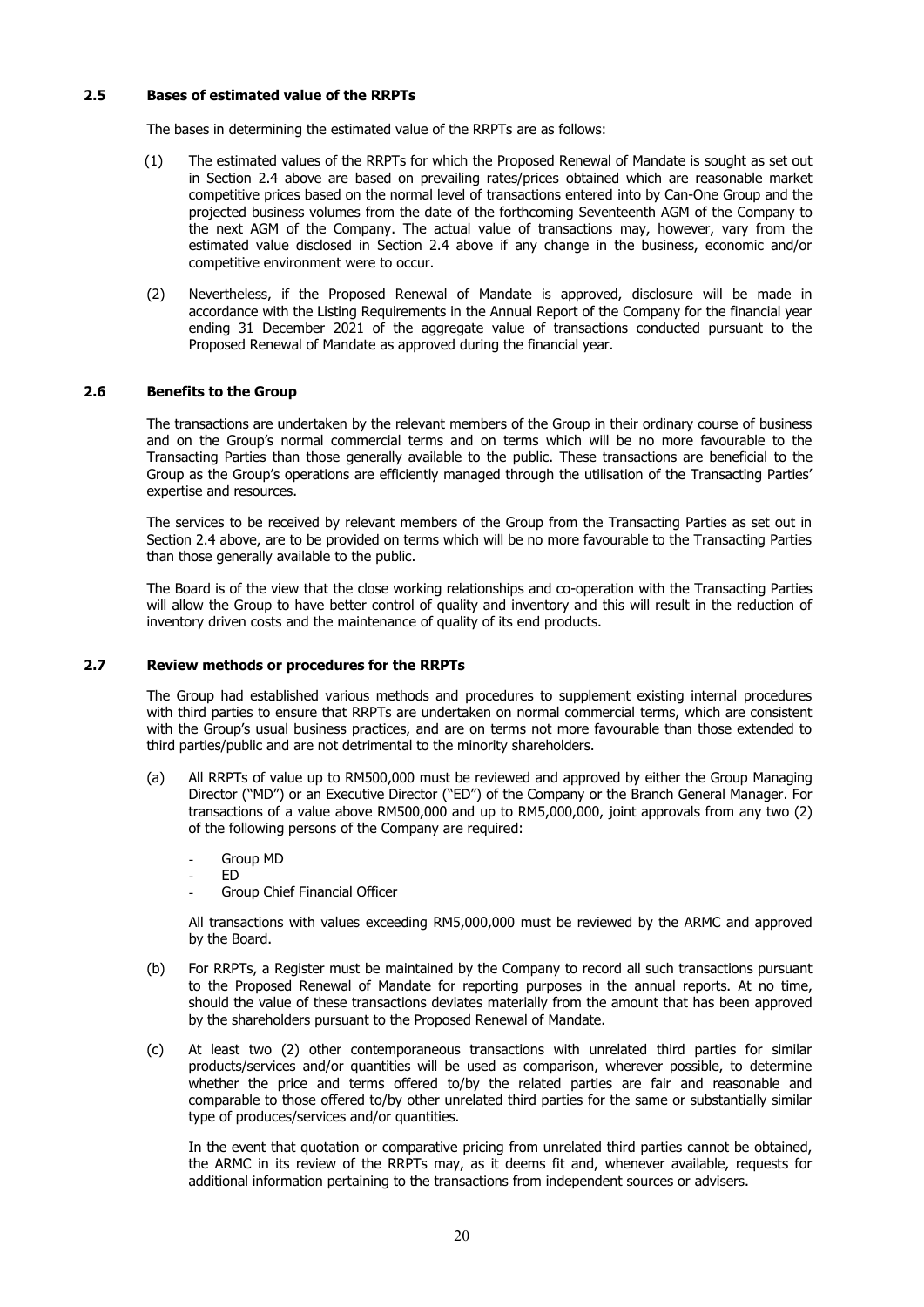### **2.5 Bases of estimated value of the RRPTs**

The bases in determining the estimated value of the RRPTs are as follows:

- (1)The estimated values of the RRPTs for which the Proposed Renewal of Mandate is sought as set out in Section 2.4 above are based on prevailing rates/prices obtained which are reasonable market competitive prices based on the normal level of transactions entered into by Can-One Group and the projected business volumes from the date of the forthcoming Seventeenth AGM of the Company to the next AGM of the Company. The actual value of transactions may, however, vary from the estimated value disclosed in Section 2.4 above if any change in the business, economic and/or competitive environment were to occur.
- (2) Nevertheless, if the Proposed Renewal of Mandate is approved, disclosure will be made in accordance with the Listing Requirements in the Annual Report of the Company for the financial year ending 31 December 2021 of the aggregate value of transactions conducted pursuant to the Proposed Renewal of Mandate as approved during the financial year.

### **2.6 Benefits to the Group**

The transactions are undertaken by the relevant members of the Group in their ordinary course of business and on the Group's normal commercial terms and on terms which will be no more favourable to the Transacting Parties than those generally available to the public. These transactions are beneficial to the Group as the Group's operations are efficiently managed through the utilisation of the Transacting Parties' expertise and resources.

 The services to be received by relevant members of the Group from the Transacting Parties as set out in Section 2.4 above, are to be provided on terms which will be no more favourable to the Transacting Parties than those generally available to the public.

 The Board is of the view that the close working relationships and co-operation with the Transacting Parties will allow the Group to have better control of quality and inventory and this will result in the reduction of inventory driven costs and the maintenance of quality of its end products.

### **2.7 Review methods or procedures for the RRPTs**

The Group had established various methods and procedures to supplement existing internal procedures with third parties to ensure that RRPTs are undertaken on normal commercial terms, which are consistent with the Group's usual business practices, and are on terms not more favourable than those extended to third parties/public and are not detrimental to the minority shareholders.

- (a) All RRPTs of value up to RM500,000 must be reviewed and approved by either the Group Managing Director ("MD") or an Executive Director ("ED") of the Company or the Branch General Manager. For transactions of a value above RM500,000 and up to RM5,000,000, joint approvals from any two (2) of the following persons of the Company are required:
	- Group MD
	- ED
	- Group Chief Financial Officer

All transactions with values exceeding RM5,000,000 must be reviewed by the ARMC and approved by the Board.

- (b) For RRPTs, a Register must be maintained by the Company to record all such transactions pursuant to the Proposed Renewal of Mandate for reporting purposes in the annual reports. At no time, should the value of these transactions deviates materially from the amount that has been approved by the shareholders pursuant to the Proposed Renewal of Mandate.
- (c) At least two (2) other contemporaneous transactions with unrelated third parties for similar products/services and/or quantities will be used as comparison, wherever possible, to determine whether the price and terms offered to/by the related parties are fair and reasonable and comparable to those offered to/by other unrelated third parties for the same or substantially similar type of produces/services and/or quantities.

In the event that quotation or comparative pricing from unrelated third parties cannot be obtained, the ARMC in its review of the RRPTs may, as it deems fit and, whenever available, requests for additional information pertaining to the transactions from independent sources or advisers.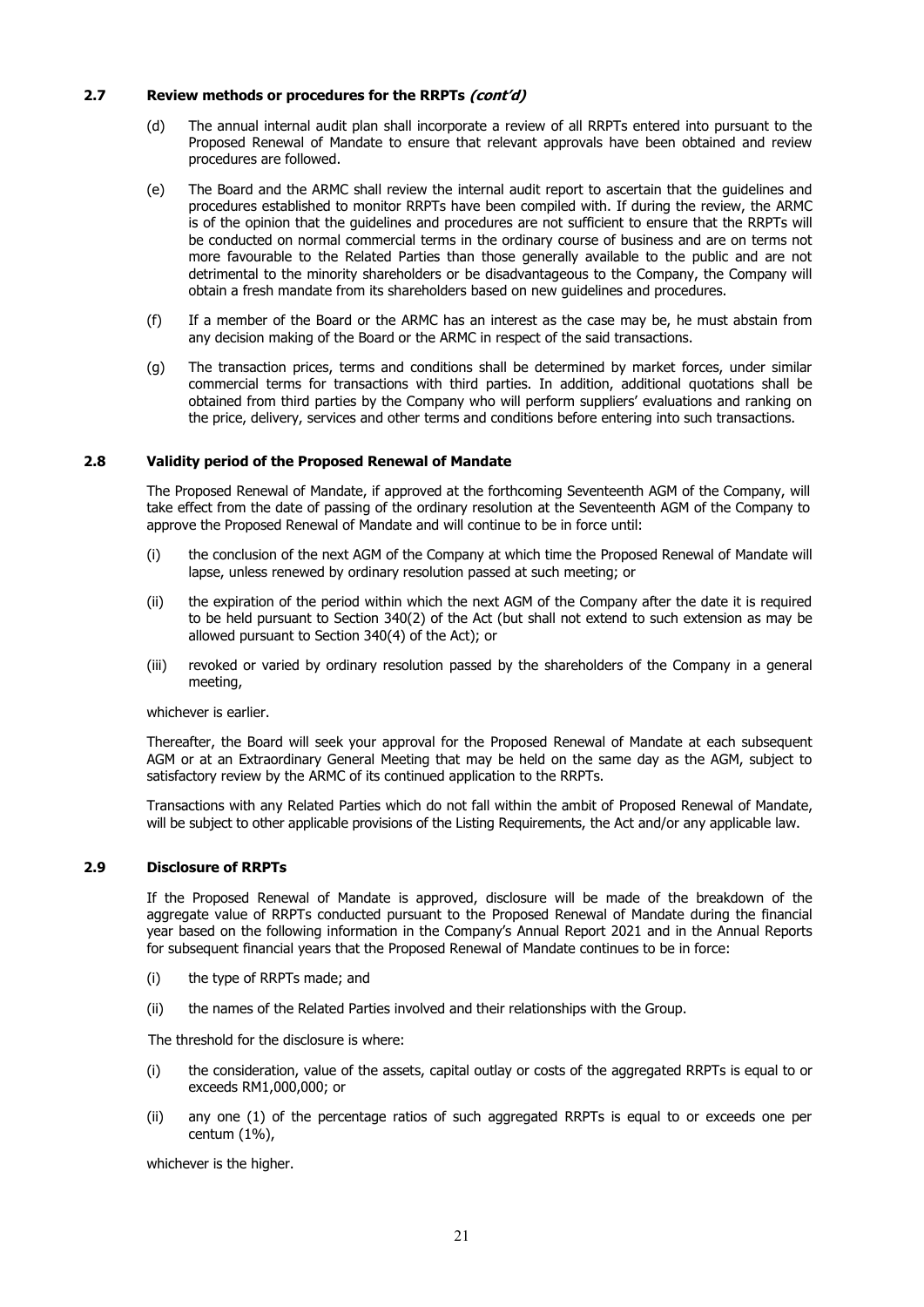### **2.7 Review methods or procedures for the RRPTs (cont'd)**

- (d) The annual internal audit plan shall incorporate a review of all RRPTs entered into pursuant to the Proposed Renewal of Mandate to ensure that relevant approvals have been obtained and review procedures are followed.
- (e) The Board and the ARMC shall review the internal audit report to ascertain that the guidelines and procedures established to monitor RRPTs have been compiled with. If during the review, the ARMC is of the opinion that the guidelines and procedures are not sufficient to ensure that the RRPTs will be conducted on normal commercial terms in the ordinary course of business and are on terms not more favourable to the Related Parties than those generally available to the public and are not detrimental to the minority shareholders or be disadvantageous to the Company, the Company will obtain a fresh mandate from its shareholders based on new guidelines and procedures.
- (f) If a member of the Board or the ARMC has an interest as the case may be, he must abstain from any decision making of the Board or the ARMC in respect of the said transactions.
- (g) The transaction prices, terms and conditions shall be determined by market forces, under similar commercial terms for transactions with third parties. In addition, additional quotations shall be obtained from third parties by the Company who will perform suppliers' evaluations and ranking on the price, delivery, services and other terms and conditions before entering into such transactions.

### **2.8 Validity period of the Proposed Renewal of Mandate**

The Proposed Renewal of Mandate, if approved at the forthcoming Seventeenth AGM of the Company, will take effect from the date of passing of the ordinary resolution at the Seventeenth AGM of the Company to approve the Proposed Renewal of Mandate and will continue to be in force until:

- (i) the conclusion of the next AGM of the Company at which time the Proposed Renewal of Mandate will lapse, unless renewed by ordinary resolution passed at such meeting; or
- (ii) the expiration of the period within which the next AGM of the Company after the date it is required to be held pursuant to Section 340(2) of the Act (but shall not extend to such extension as may be allowed pursuant to Section 340(4) of the Act); or
- (iii) revoked or varied by ordinary resolution passed by the shareholders of the Company in a general meeting,

whichever is earlier.

Thereafter, the Board will seek your approval for the Proposed Renewal of Mandate at each subsequent AGM or at an Extraordinary General Meeting that may be held on the same day as the AGM, subject to satisfactory review by the ARMC of its continued application to the RRPTs.

Transactions with any Related Parties which do not fall within the ambit of Proposed Renewal of Mandate, will be subject to other applicable provisions of the Listing Requirements, the Act and/or any applicable law.

### **2.9 Disclosure of RRPTs**

If the Proposed Renewal of Mandate is approved, disclosure will be made of the breakdown of the aggregate value of RRPTs conducted pursuant to the Proposed Renewal of Mandate during the financial year based on the following information in the Company's Annual Report 2021 and in the Annual Reports for subsequent financial years that the Proposed Renewal of Mandate continues to be in force:

- (i) the type of RRPTs made; and
- (ii) the names of the Related Parties involved and their relationships with the Group.

The threshold for the disclosure is where:

- (i) the consideration, value of the assets, capital outlay or costs of the aggregated RRPTs is equal to or exceeds RM1,000,000; or
- (ii) any one (1) of the percentage ratios of such aggregated RRPTs is equal to or exceeds one per centum (1%),

whichever is the higher.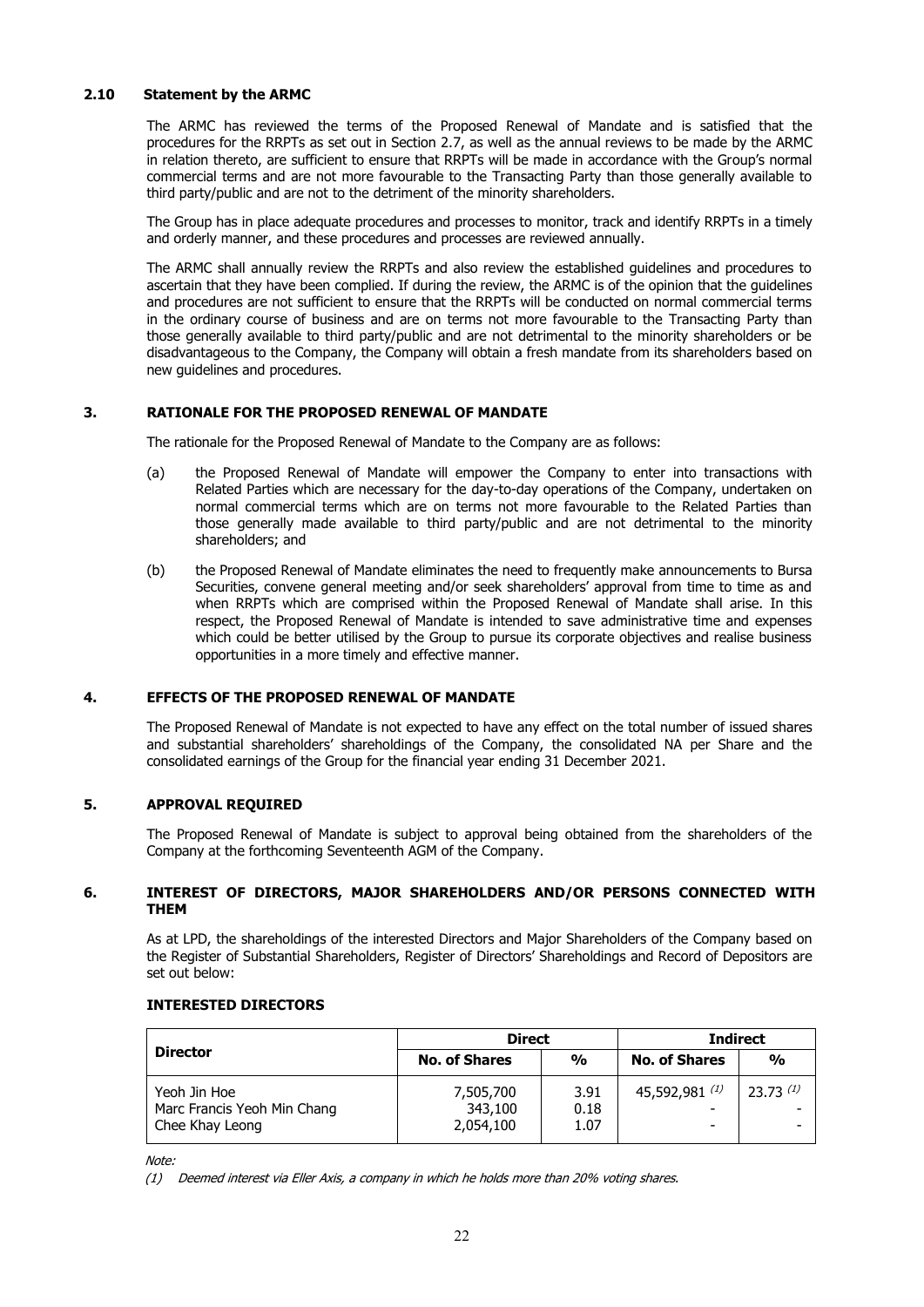### **2.10 Statement by the ARMC**

 The ARMC has reviewed the terms of the Proposed Renewal of Mandate and is satisfied that the procedures for the RRPTs as set out in Section 2.7, as well as the annual reviews to be made by the ARMC in relation thereto, are sufficient to ensure that RRPTs will be made in accordance with the Group's normal commercial terms and are not more favourable to the Transacting Party than those generally available to third party/public and are not to the detriment of the minority shareholders.

 The Group has in place adequate procedures and processes to monitor, track and identify RRPTs in a timely and orderly manner, and these procedures and processes are reviewed annually.

 The ARMC shall annually review the RRPTs and also review the established guidelines and procedures to ascertain that they have been complied. If during the review, the ARMC is of the opinion that the guidelines and procedures are not sufficient to ensure that the RRPTs will be conducted on normal commercial terms in the ordinary course of business and are on terms not more favourable to the Transacting Party than those generally available to third party/public and are not detrimental to the minority shareholders or be disadvantageous to the Company, the Company will obtain a fresh mandate from its shareholders based on new guidelines and procedures.

### **3. RATIONALE FOR THE PROPOSED RENEWAL OF MANDATE**

The rationale for the Proposed Renewal of Mandate to the Company are as follows:

- (a) the Proposed Renewal of Mandate will empower the Company to enter into transactions with Related Parties which are necessary for the day-to-day operations of the Company, undertaken on normal commercial terms which are on terms not more favourable to the Related Parties than those generally made available to third party/public and are not detrimental to the minority shareholders; and
- (b) the Proposed Renewal of Mandate eliminates the need to frequently make announcements to Bursa Securities, convene general meeting and/or seek shareholders' approval from time to time as and when RRPTs which are comprised within the Proposed Renewal of Mandate shall arise. In this respect, the Proposed Renewal of Mandate is intended to save administrative time and expenses which could be better utilised by the Group to pursue its corporate objectives and realise business opportunities in a more timely and effective manner.

### **4. EFFECTS OF THE PROPOSED RENEWAL OF MANDATE**

The Proposed Renewal of Mandate is not expected to have any effect on the total number of issued shares and substantial shareholders' shareholdings of the Company, the consolidated NA per Share and the consolidated earnings of the Group for the financial year ending 31 December 2021.

### **5. APPROVAL REQUIRED**

The Proposed Renewal of Mandate is subject to approval being obtained from the shareholders of the Company at the forthcoming Seventeenth AGM of the Company.

### **6. INTEREST OF DIRECTORS, MAJOR SHAREHOLDERS AND/OR PERSONS CONNECTED WITH THEM**

As at LPD, the shareholdings of the interested Directors and Major Shareholders of the Company based on the Register of Substantial Shareholders, Register of Directors' Shareholdings and Record of Depositors are set out below:

### **INTERESTED DIRECTORS**

| <b>Director</b>                                                | <b>Direct</b>                     |                      | <b>Indirect</b>      |               |
|----------------------------------------------------------------|-----------------------------------|----------------------|----------------------|---------------|
|                                                                | <b>No. of Shares</b>              | $\frac{0}{0}$        | <b>No. of Shares</b> | $\frac{0}{0}$ |
| Yeoh Jin Hoe<br>Marc Francis Yeoh Min Chang<br>Chee Khay Leong | 7,505,700<br>343,100<br>2,054,100 | 3.91<br>0.18<br>1.07 | 45,592,981 $(1)$     | $23.73^{(1)}$ |

Note<sup>.</sup>

(1) Deemed interest via Eller Axis, a company in which he holds more than 20% voting shares.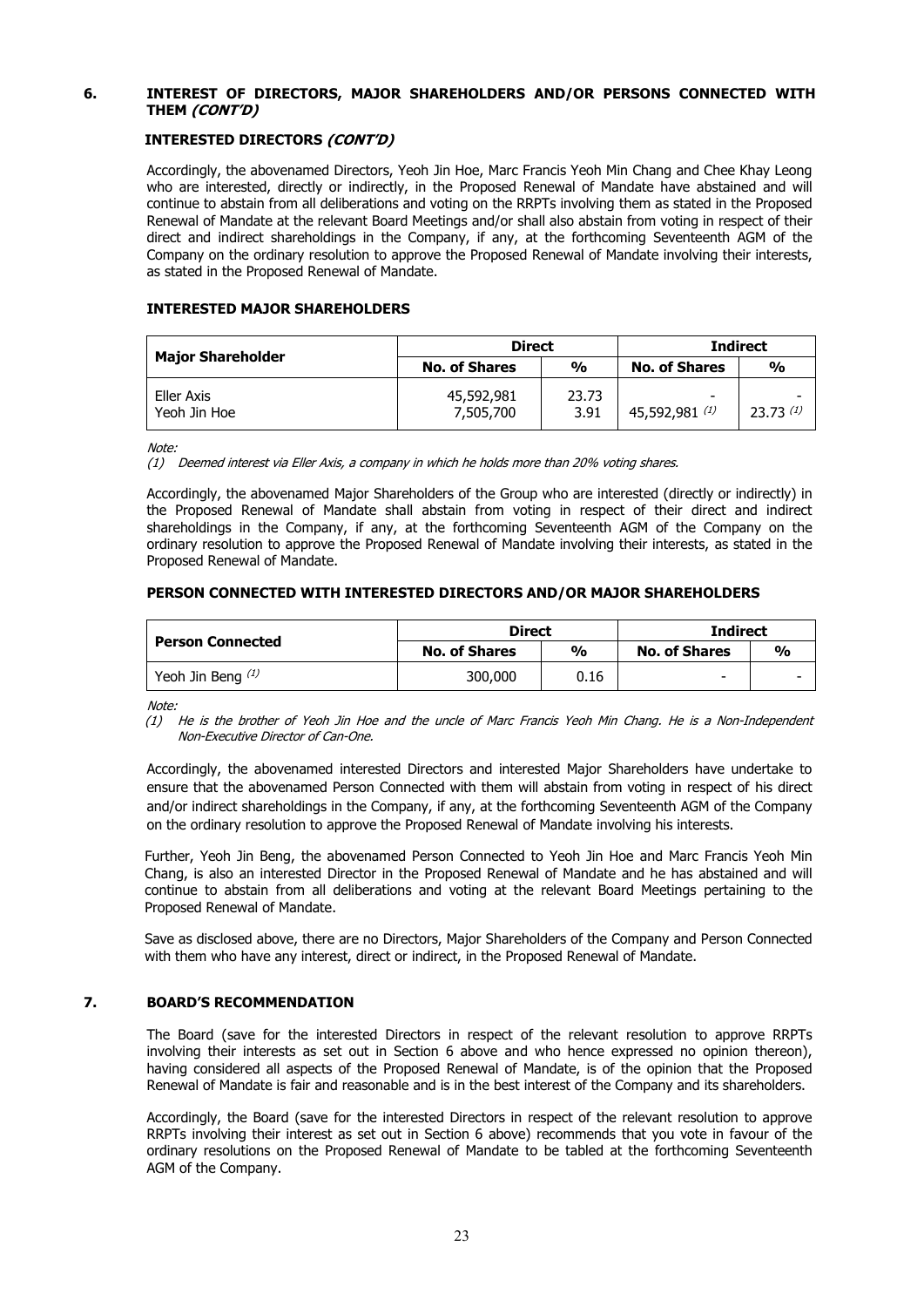### **6. INTEREST OF DIRECTORS, MAJOR SHAREHOLDERS AND/OR PERSONS CONNECTED WITH THEM (CONT'D)**

### **INTERESTED DIRECTORS (CONT'D)**

Accordingly, the abovenamed Directors, Yeoh Jin Hoe, Marc Francis Yeoh Min Chang and Chee Khay Leong who are interested, directly or indirectly, in the Proposed Renewal of Mandate have abstained and will continue to abstain from all deliberations and voting on the RRPTs involving them as stated in the Proposed Renewal of Mandate at the relevant Board Meetings and/or shall also abstain from voting in respect of their direct and indirect shareholdings in the Company, if any, at the forthcoming Seventeenth AGM of the Company on the ordinary resolution to approve the Proposed Renewal of Mandate involving their interests, as stated in the Proposed Renewal of Mandate.

### **INTERESTED MAJOR SHAREHOLDERS**

| <b>Major Shareholder</b>   | <b>Direct</b>           |               | <b>Indirect</b>      |               |
|----------------------------|-------------------------|---------------|----------------------|---------------|
|                            | <b>No. of Shares</b>    | $\frac{0}{0}$ | <b>No. of Shares</b> | $\frac{0}{0}$ |
| Eller Axis<br>Yeoh Jin Hoe | 45,592,981<br>7,505,700 | 23.73<br>3.91 | 45,592,981 $(1)$     | 23.73 $(1)$   |

Note:

(1) Deemed interest via Eller Axis, a company in which he holds more than 20% voting shares.

Accordingly, the abovenamed Major Shareholders of the Group who are interested (directly or indirectly) in the Proposed Renewal of Mandate shall abstain from voting in respect of their direct and indirect shareholdings in the Company, if any, at the forthcoming Seventeenth AGM of the Company on the ordinary resolution to approve the Proposed Renewal of Mandate involving their interests, as stated in the Proposed Renewal of Mandate.

### **PERSON CONNECTED WITH INTERESTED DIRECTORS AND/OR MAJOR SHAREHOLDERS**

|                         | <b>Direct</b>        |      | <b>Indirect</b>          |               |
|-------------------------|----------------------|------|--------------------------|---------------|
| <b>Person Connected</b> | <b>No. of Shares</b> | %    | <b>No. of Shares</b>     | $\frac{0}{0}$ |
| Yeoh Jin Beng $(1)$     | 300,000              | 0.16 | $\overline{\phantom{a}}$ |               |

Note:

(1) He is the brother of Yeoh Jin Hoe and the uncle of Marc Francis Yeoh Min Chang. He is a Non-Independent Non-Executive Director of Can-One.

Accordingly, the abovenamed interested Directors and interested Major Shareholders have undertake to ensure that the abovenamed Person Connected with them will abstain from voting in respect of his direct and/or indirect shareholdings in the Company, if any, at the forthcoming Seventeenth AGM of the Company on the ordinary resolution to approve the Proposed Renewal of Mandate involving his interests.

Further, Yeoh Jin Beng, the abovenamed Person Connected to Yeoh Jin Hoe and Marc Francis Yeoh Min Chang, is also an interested Director in the Proposed Renewal of Mandate and he has abstained and will continue to abstain from all deliberations and voting at the relevant Board Meetings pertaining to the Proposed Renewal of Mandate.

Save as disclosed above, there are no Directors, Major Shareholders of the Company and Person Connected with them who have any interest, direct or indirect, in the Proposed Renewal of Mandate.

### **7. BOARD'S RECOMMENDATION**

The Board (save for the interested Directors in respect of the relevant resolution to approve RRPTs involving their interests as set out in Section 6 above and who hence expressed no opinion thereon), having considered all aspects of the Proposed Renewal of Mandate, is of the opinion that the Proposed Renewal of Mandate is fair and reasonable and is in the best interest of the Company and its shareholders.

Accordingly, the Board (save for the interested Directors in respect of the relevant resolution to approve RRPTs involving their interest as set out in Section 6 above) recommends that you vote in favour of the ordinary resolutions on the Proposed Renewal of Mandate to be tabled at the forthcoming Seventeenth AGM of the Company.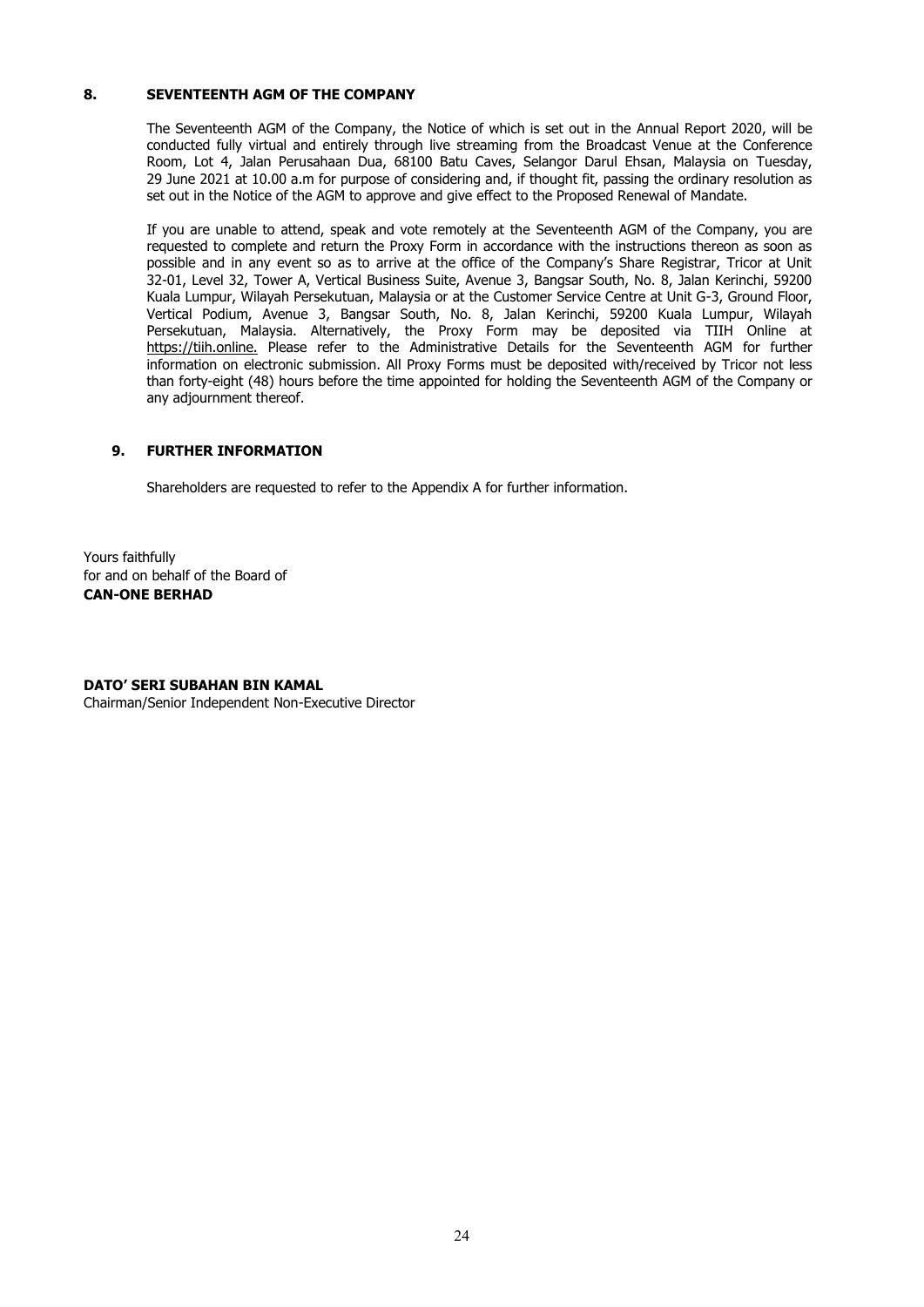### **8. SEVENTEENTH AGM OF THE COMPANY**

The Seventeenth AGM of the Company, the Notice of which is set out in the Annual Report 2020, will be conducted fully virtual and entirely through live streaming from the Broadcast Venue at the Conference Room, Lot 4, Jalan Perusahaan Dua, 68100 Batu Caves, Selangor Darul Ehsan, Malaysia on Tuesday, 29 June 2021 at 10.00 a.m for purpose of considering and, if thought fit, passing the ordinary resolution as set out in the Notice of the AGM to approve and give effect to the Proposed Renewal of Mandate.

If you are unable to attend, speak and vote remotely at the Seventeenth AGM of the Company, you are requested to complete and return the Proxy Form in accordance with the instructions thereon as soon as possible and in any event so as to arrive at the office of the Company's Share Registrar, Tricor at Unit 32-01, Level 32, Tower A, Vertical Business Suite, Avenue 3, Bangsar South, No. 8, Jalan Kerinchi, 59200 Kuala Lumpur, Wilayah Persekutuan, Malaysia or at the Customer Service Centre at Unit G-3, Ground Floor, Vertical Podium, Avenue 3, Bangsar South, No. 8, Jalan Kerinchi, 59200 Kuala Lumpur, Wilayah Persekutuan, Malaysia. Alternatively, the Proxy Form may be deposited via TIIH Online at https://tiih.online. Please refer to the Administrative Details for the Seventeenth AGM for further information on electronic submission. All Proxy Forms must be deposited with/received by Tricor not less than forty-eight (48) hours before the time appointed for holding the Seventeenth AGM of the Company or any adjournment thereof.

### **9. FURTHER INFORMATION**

Shareholders are requested to refer to the Appendix A for further information.

Yours faithfully for and on behalf of the Board of **CAN-ONE BERHAD** 

### **DATO' SERI SUBAHAN BIN KAMAL**

Chairman/Senior Independent Non-Executive Director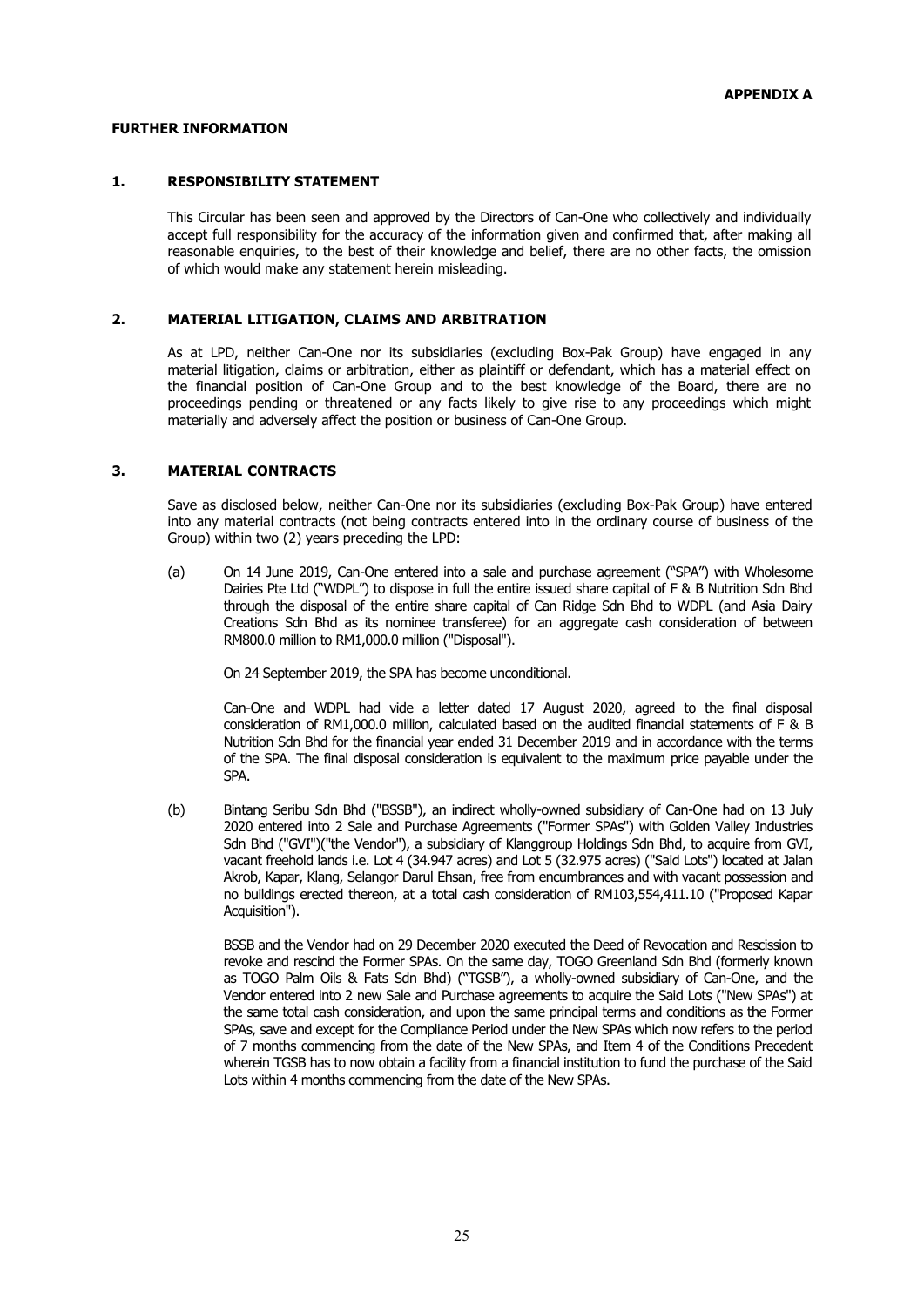### **FURTHER INFORMATION**

### **1. RESPONSIBILITY STATEMENT**

This Circular has been seen and approved by the Directors of Can-One who collectively and individually accept full responsibility for the accuracy of the information given and confirmed that, after making all reasonable enquiries, to the best of their knowledge and belief, there are no other facts, the omission of which would make any statement herein misleading.

### **2. MATERIAL LITIGATION, CLAIMS AND ARBITRATION**

As at LPD, neither Can-One nor its subsidiaries (excluding Box-Pak Group) have engaged in any material litigation, claims or arbitration, either as plaintiff or defendant, which has a material effect on the financial position of Can-One Group and to the best knowledge of the Board, there are no proceedings pending or threatened or any facts likely to give rise to any proceedings which might materially and adversely affect the position or business of Can-One Group.

### **3. MATERIAL CONTRACTS**

Save as disclosed below, neither Can-One nor its subsidiaries (excluding Box-Pak Group) have entered into any material contracts (not being contracts entered into in the ordinary course of business of the Group) within two (2) years preceding the LPD:

(a) On 14 June 2019, Can-One entered into a sale and purchase agreement ("SPA") with Wholesome Dairies Pte Ltd ("WDPL") to dispose in full the entire issued share capital of F & B Nutrition Sdn Bhd through the disposal of the entire share capital of Can Ridge Sdn Bhd to WDPL (and Asia Dairy Creations Sdn Bhd as its nominee transferee) for an aggregate cash consideration of between RM800.0 million to RM1,000.0 million ("Disposal").

On 24 September 2019, the SPA has become unconditional.

Can-One and WDPL had vide a letter dated 17 August 2020, agreed to the final disposal consideration of RM1,000.0 million, calculated based on the audited financial statements of F & B Nutrition Sdn Bhd for the financial year ended 31 December 2019 and in accordance with the terms of the SPA. The final disposal consideration is equivalent to the maximum price payable under the SPA.

(b) Bintang Seribu Sdn Bhd ("BSSB"), an indirect wholly-owned subsidiary of Can-One had on 13 July 2020 entered into 2 Sale and Purchase Agreements ("Former SPAs") with Golden Valley Industries Sdn Bhd ("GVI")("the Vendor"), a subsidiary of Klanggroup Holdings Sdn Bhd, to acquire from GVI, vacant freehold lands i.e. Lot 4 (34.947 acres) and Lot 5 (32.975 acres) ("Said Lots") located at Jalan Akrob, Kapar, Klang, Selangor Darul Ehsan, free from encumbrances and with vacant possession and no buildings erected thereon, at a total cash consideration of RM103,554,411.10 ("Proposed Kapar Acquisition").

BSSB and the Vendor had on 29 December 2020 executed the Deed of Revocation and Rescission to revoke and rescind the Former SPAs. On the same day, TOGO Greenland Sdn Bhd (formerly known as TOGO Palm Oils & Fats Sdn Bhd) ("TGSB"), a wholly-owned subsidiary of Can-One, and the Vendor entered into 2 new Sale and Purchase agreements to acquire the Said Lots ("New SPAs") at the same total cash consideration, and upon the same principal terms and conditions as the Former SPAs, save and except for the Compliance Period under the New SPAs which now refers to the period of 7 months commencing from the date of the New SPAs, and Item 4 of the Conditions Precedent wherein TGSB has to now obtain a facility from a financial institution to fund the purchase of the Said Lots within 4 months commencing from the date of the New SPAs.